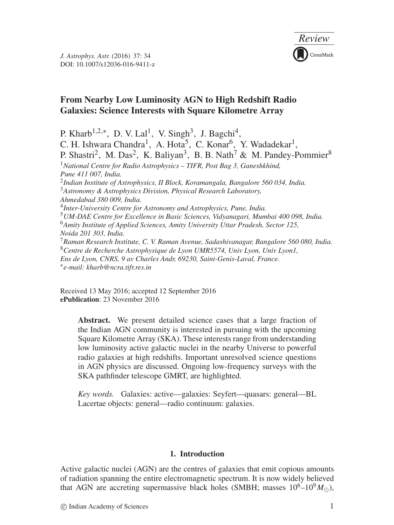

# **From Nearby Low Luminosity AGN to High Redshift Radio Galaxies: Science Interests with Square Kilometre Array**

P. Kharb<sup>1,2,∗</sup>, D. V. Lal<sup>1</sup>, V. Singh<sup>3</sup>, J. Bagchi<sup>4</sup>, C. H. Ishwara Chandra<sup>1</sup>, A. Hota<sup>5</sup>, C. Konar<sup>6</sup>, Y. Wadadekar<sup>1</sup>, P. Shastri<sup>2</sup>, M. Das<sup>2</sup>, K. Baliyan<sup>3</sup>, B. B. Nath<sup>7</sup> & M. Pandey-Pommier<sup>8</sup> <sup>1</sup>*National Centre for Radio Astrophysics – TIFR, Post Bag 3, Ganeshkhind, Pune 411 007, India.* <sup>2</sup>*Indian Institute of Astrophysics, II Block, Koramangala, Bangalore 560 034, India.* <sup>3</sup>*Astronomy & Astrophysics Division, Physical Research Laboratory, Ahmedabad 380 009, India.* <sup>4</sup>*Inter-University Centre for Astronomy and Astrophysics, Pune, India.* <sup>5</sup>*UM-DAE Centre for Excellence in Basic Sciences, Vidyanagari, Mumbai 400 098, India.* <sup>6</sup>*Amity Institute of Applied Sciences, Amity University Uttar Pradesh, Sector 125, Noida 201 303, India.* <sup>7</sup>*Raman Research Institute, C. V. Raman Avenue, Sadashivanagar, Bangalore 560 080, India.* <sup>8</sup>*Centre de Recherche Astrophysique de Lyon UMR5574, Univ Lyon, Univ Lyon1, Ens de Lyon, CNRS, 9 av Charles Andr, 69230, Saint-Genis-Laval, France.* ∗*e-mail: kharb@ncra.tifr.res.in*

Received 13 May 2016; accepted 12 September 2016 **ePublication**: 23 November 2016

> **Abstract.** We present detailed science cases that a large fraction of the Indian AGN community is interested in pursuing with the upcoming Square Kilometre Array (SKA). These interests range from understanding low luminosity active galactic nuclei in the nearby Universe to powerful radio galaxies at high redshifts. Important unresolved science questions in AGN physics are discussed. Ongoing low-frequency surveys with the SKA pathfinder telescope GMRT, are highlighted.

> *Key words.* Galaxies: active—galaxies: Seyfert—quasars: general—BL Lacertae objects: general—radio continuum: galaxies.

## **1. Introduction**

Active galactic nuclei (AGN) are the centres of galaxies that emit copious amounts of radiation spanning the entire electromagnetic spectrum. It is now widely believed that AGN are accreting supermassive black holes (SMBH; masses  $10^6-10^9 M_{\odot}$ ),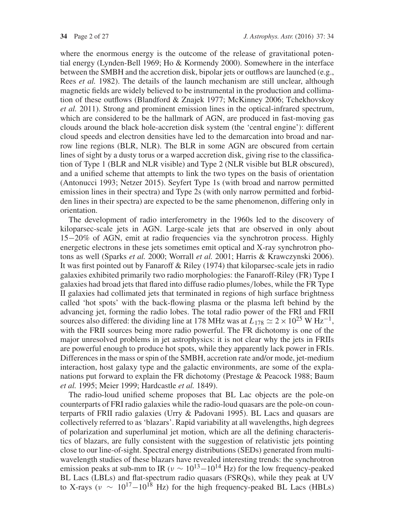where the enormous energy is the outcome of the release of gravitational potential energy (Lynden-Bell 1969; Ho & Kormendy 2000). Somewhere in the interface between the SMBH and the accretion disk, bipolar jets or outflows are launched (e.g., Rees *et al.* 1982). The details of the launch mechanism are still unclear, although magnetic fields are widely believed to be instrumental in the production and collimation of these outflows (Blandford & Znajek 1977; McKinney 2006; Tchekhovskoy *et al.* 2011). Strong and prominent emission lines in the optical-infrared spectrum, which are considered to be the hallmark of AGN, are produced in fast-moving gas clouds around the black hole-accretion disk system (the 'central engine'): different cloud speeds and electron densities have led to the demarcation into broad and narrow line regions (BLR, NLR). The BLR in some AGN are obscured from certain lines of sight by a dusty torus or a warped accretion disk, giving rise to the classification of Type 1 (BLR and NLR visible) and Type 2 (NLR visible but BLR obscured), and a unified scheme that attempts to link the two types on the basis of orientation (Antonucci 1993; Netzer 2015). Seyfert Type 1s (with broad and narrow permitted emission lines in their spectra) and Type 2s (with only narrow permitted and forbidden lines in their spectra) are expected to be the same phenomenon, differing only in orientation.

The development of radio interferometry in the 1960s led to the discovery of kiloparsec-scale jets in AGN. Large-scale jets that are observed in only about 15−20% of AGN, emit at radio frequencies via the synchrotron process. Highly energetic electrons in these jets sometimes emit optical and X-ray synchrotron photons as well (Sparks *et al.* 2000; Worrall *et al.* 2001; Harris & Krawczynski 2006). It was first pointed out by Fanaroff & Riley (1974) that kiloparsec-scale jets in radio galaxies exhibited primarily two radio morphologies: the Fanaroff-Riley (FR) Type I galaxies had broad jets that flared into diffuse radio plumes/lobes, while the FR Type II galaxies had collimated jets that terminated in regions of high surface brightness called 'hot spots' with the back-flowing plasma or the plasma left behind by the advancing jet, forming the radio lobes. The total radio power of the FRI and FRII sources also differed: the dividing line at 178 MHz was at  $L_{178} \simeq 2 \times 10^{25}$  W Hz<sup>-1</sup>, with the FRII sources being more radio powerful. The FR dichotomy is one of the major unresolved problems in jet astrophysics: it is not clear why the jets in FRIIs are powerful enough to produce hot spots, while they apparently lack power in FRIs. Differences in the mass or spin of the SMBH, accretion rate and/or mode, jet-medium interaction, host galaxy type and the galactic environments, are some of the explanations put forward to explain the FR dichotomy (Prestage & Peacock 1988; Baum *et al.* 1995; Meier 1999; Hardcastle *et al.* 1849).

The radio-loud unified scheme proposes that BL Lac objects are the pole-on counterparts of FRI radio galaxies while the radio-loud quasars are the pole-on counterparts of FRII radio galaxies (Urry & Padovani 1995). BL Lacs and quasars are collectively referred to as 'blazars'. Rapid variability at all wavelengths, high degrees of polarization and superluminal jet motion, which are all the defining characteristics of blazars, are fully consistent with the suggestion of relativistic jets pointing close to our line-of-sight. Spectral energy distributions (SEDs) generated from multiwavelength studies of these blazars have revealed interesting trends: the synchrotron emission peaks at sub-mm to IR ( $v \sim 10^{13} - 10^{14}$  Hz) for the low frequency-peaked BL Lacs (LBLs) and flat-spectrum radio quasars (FSRQs), while they peak at UV to X-rays ( $v \sim 10^{17}-10^{18}$  Hz) for the high frequency-peaked BL Lacs (HBLs)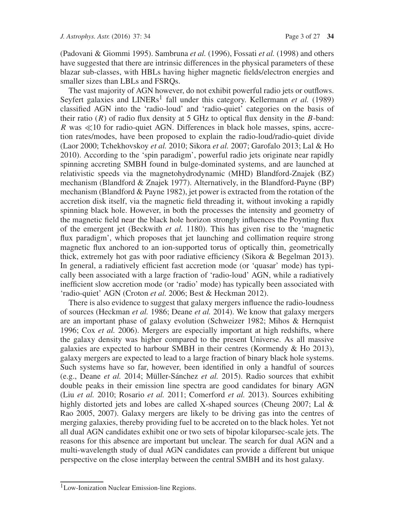(Padovani & Giommi 1995). Sambruna *et al.* (1996), Fossati *et al.* (1998) and others have suggested that there are intrinsic differences in the physical parameters of these blazar sub-classes, with HBLs having higher magnetic fields/electron energies and smaller sizes than LBLs and FSRQs.

The vast majority of AGN however, do not exhibit powerful radio jets or outflows. Seyfert galaxies and  $LINERs<sup>1</sup>$  fall under this category. Kellermann *et al.* (1989) classified AGN into the 'radio-loud' and 'radio-quiet' categories on the basis of their ratio  $(R)$  of radio flux density at 5 GHz to optical flux density in the B-band: R was  $\ll$ 10 for radio-quiet AGN. Differences in black hole masses, spins, accretion rates/modes, have been proposed to explain the radio-loud/radio-quiet divide (Laor 2000; Tchekhovskoy *et al.* 2010; Sikora *et al.* 2007; Garofalo 2013; Lal & Ho 2010). According to the 'spin paradigm', powerful radio jets originate near rapidly spinning accreting SMBH found in bulge-dominated systems, and are launched at relativistic speeds via the magnetohydrodynamic (MHD) Blandford-Znajek (BZ) mechanism (Blandford & Znajek 1977). Alternatively, in the Blandford-Payne (BP) mechanism (Blandford & Payne 1982), jet power is extracted from the rotation of the accretion disk itself, via the magnetic field threading it, without invoking a rapidly spinning black hole. However, in both the processes the intensity and geometry of the magnetic field near the black hole horizon strongly influences the Poynting flux of the emergent jet (Beckwith *et al.* 1180). This has given rise to the 'magnetic flux paradigm', which proposes that jet launching and collimation require strong magnetic flux anchored to an ion-supported torus of optically thin, geometrically thick, extremely hot gas with poor radiative efficiency (Sikora & Begelman 2013). In general, a radiatively efficient fast accretion mode (or 'quasar' mode) has typically been associated with a large fraction of 'radio-loud' AGN, while a radiatively inefficient slow accretion mode (or 'radio' mode) has typically been associated with 'radio-quiet' AGN (Croton *et al.* 2006; Best & Heckman 2012).

There is also evidence to suggest that galaxy mergers influence the radio-loudness of sources (Heckman *et al.* 1986; Deane *et al.* 2014). We know that galaxy mergers are an important phase of galaxy evolution (Schweizer 1982; Mihos & Hernquist 1996; Cox *et al.* 2006). Mergers are especially important at high redshifts, where the galaxy density was higher compared to the present Universe. As all massive galaxies are expected to harbour SMBH in their centres (Kormendy & Ho 2013), galaxy mergers are expected to lead to a large fraction of binary black hole systems. Such systems have so far, however, been identified in only a handful of sources (e.g., Deane *et al.* 2014; Müller-Sánchez *et al.* 2015). Radio sources that exhibit double peaks in their emission line spectra are good candidates for binary AGN (Liu *et al.* 2010; Rosario *et al.* 2011; Comerford *et al.* 2013). Sources exhibiting highly distorted jets and lobes are called X-shaped sources (Cheung 2007; Lal & Rao 2005, 2007). Galaxy mergers are likely to be driving gas into the centres of merging galaxies, thereby providing fuel to be accreted on to the black holes. Yet not all dual AGN candidates exhibit one or two sets of bipolar kiloparsec-scale jets. The reasons for this absence are important but unclear. The search for dual AGN and a multi-wavelength study of dual AGN candidates can provide a different but unique perspective on the close interplay between the central SMBH and its host galaxy.

<sup>&</sup>lt;sup>1</sup>Low-Ionization Nuclear Emission-line Regions.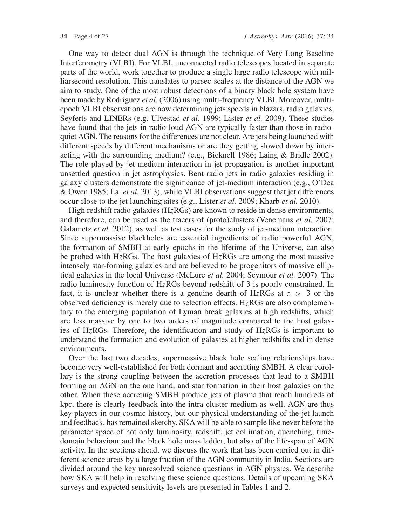One way to detect dual AGN is through the technique of Very Long Baseline Interferometry (VLBI). For VLBI, unconnected radio telescopes located in separate parts of the world, work together to produce a single large radio telescope with milliarsecond resolution. This translates to parsec-scales at the distance of the AGN we aim to study. One of the most robust detections of a binary black hole system have been made by Rodriguez *et al.* (2006) using multi-frequency VLBI. Moreover, multiepoch VLBI observations are now determining jets speeds in blazars, radio galaxies, Seyferts and LINERs (e.g. Ulvestad *et al.* 1999; Lister *et al.* 2009). These studies have found that the jets in radio-loud AGN are typically faster than those in radioquiet AGN. The reasons for the differences are not clear. Are jets being launched with different speeds by different mechanisms or are they getting slowed down by interacting with the surrounding medium? (e.g., Bicknell 1986; Laing & Bridle 2002). The role played by jet-medium interaction in jet propagation is another important unsettled question in jet astrophysics. Bent radio jets in radio galaxies residing in galaxy clusters demonstrate the significance of jet-medium interaction (e.g., O'Dea & Owen 1985; Lal *et al.* 2013), while VLBI observations suggest that jet differences occur close to the jet launching sites (e.g., Lister *et al.* 2009; Kharb *et al.* 2010).

High redshift radio galaxies (HzRGs) are known to reside in dense environments, and therefore, can be used as the tracers of (proto)clusters (Venemans *et al.* 2007; Galametz *et al.* 2012), as well as test cases for the study of jet-medium interaction. Since supermassive blackholes are essential ingredients of radio powerful AGN, the formation of SMBH at early epochs in the lifetime of the Universe, can also be probed with HzRGs. The host galaxies of HzRGs are among the most massive intensely star-forming galaxies and are believed to be progenitors of massive elliptical galaxies in the local Universe (McLure *et al.* 2004; Seymour *et al.* 2007). The radio luminosity function of HzRGs beyond redshift of 3 is poorly constrained. In fact, it is unclear whether there is a genuine dearth of HzRGs at  $z > 3$  or the observed deficiency is merely due to selection effects.  $H_{Z}RGs$  are also complementary to the emerging population of Lyman break galaxies at high redshifts, which are less massive by one to two orders of magnitude compared to the host galaxies of HzRGs. Therefore, the identification and study of HzRGs is important to understand the formation and evolution of galaxies at higher redshifts and in dense environments.

Over the last two decades, supermassive black hole scaling relationships have become very well-established for both dormant and accreting SMBH. A clear corollary is the strong coupling between the accretion processes that lead to a SMBH forming an AGN on the one hand, and star formation in their host galaxies on the other. When these accreting SMBH produce jets of plasma that reach hundreds of kpc, there is clearly feedback into the intra-cluster medium as well. AGN are thus key players in our cosmic history, but our physical understanding of the jet launch and feedback, has remained sketchy. SKA will be able to sample like never before the parameter space of not only luminosity, redshift, jet collimation, quenching, timedomain behaviour and the black hole mass ladder, but also of the life-span of AGN activity. In the sections ahead, we discuss the work that has been carried out in different science areas by a large fraction of the AGN community in India. Sections are divided around the key unresolved science questions in AGN physics. We describe how SKA will help in resolving these science questions. Details of upcoming SKA surveys and expected sensitivity levels are presented in Tables 1 and 2.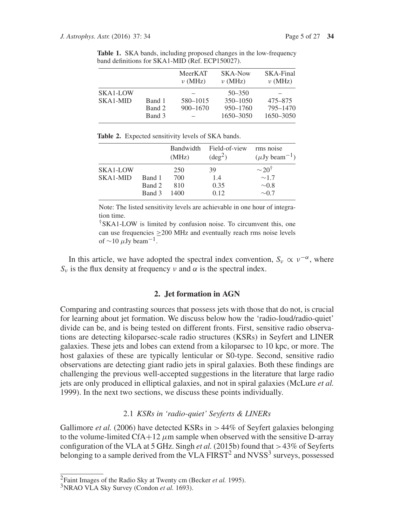|                      |                            | MeerKAT<br>$\nu$ (MHz)   | SKA-Now<br>$\nu$ (MHz)                              | SKA-Final<br>$\nu$ (MHz)         |
|----------------------|----------------------------|--------------------------|-----------------------------------------------------|----------------------------------|
| SKA1-LOW<br>SKA1-MID | Band 1<br>Band 2<br>Band 3 | 580-1015<br>$900 - 1670$ | $50 - 350$<br>$350 - 1050$<br>950–1760<br>1650-3050 | 475-875<br>795-1470<br>1650-3050 |

**Table 1.** SKA bands, including proposed changes in the low-frequency band definitions for SKA1-MID (Ref. ECP150027).

**Table 2.** Expected sensitivity levels of SKA bands.

|          |        | (MHz) | Bandwidth Field-of-view<br>$(\text{deg}^2)$ | rms noise<br>$(\mu Jy beam^{-1})$ |
|----------|--------|-------|---------------------------------------------|-----------------------------------|
| SKA1-LOW |        | 250   | 39                                          | $\sim$ 20 <sup>†</sup>            |
| SKA1-MID | Band 1 | 700   | 1.4                                         | $\sim$ 1.7                        |
|          | Band 2 | 810   | 0.35                                        | $\sim 0.8$                        |
|          | Band 3 | 1400  | 0.12                                        | $\sim 0.7$                        |

Note: The listed sensitivity levels are achievable in one hour of integration time.

†SKA1-LOW is limited by confusion noise. To circumvent this, one can use frequencies ≥200 MHz and eventually reach rms noise levels of  $\sim$ 10  $\mu$ Jy beam<sup>-1</sup>.

In this article, we have adopted the spectral index convention,  $S_v \propto v^{-\alpha}$ , where  $S_{\nu}$  is the flux density at frequency  $\nu$  and  $\alpha$  is the spectral index.

#### **2. Jet formation in AGN**

Comparing and contrasting sources that possess jets with those that do not, is crucial for learning about jet formation. We discuss below how the 'radio-loud/radio-quiet' divide can be, and is being tested on different fronts. First, sensitive radio observations are detecting kiloparsec-scale radio structures (KSRs) in Seyfert and LINER galaxies. These jets and lobes can extend from a kiloparsec to 10 kpc, or more. The host galaxies of these are typically lenticular or S0-type. Second, sensitive radio observations are detecting giant radio jets in spiral galaxies. Both these findings are challenging the previous well-accepted suggestions in the literature that large radio jets are only produced in elliptical galaxies, and not in spiral galaxies (McLure *et al.* 1999). In the next two sections, we discuss these points individually.

## 2.1 *KSRs in 'radio-quiet' Seyferts & LINERs*

Gallimore *et al.* (2006) have detected KSRs in > 44% of Seyfert galaxies belonging to the volume-limited CfA+12  $\mu$ m sample when observed with the sensitive D-array configuration of the VLA at 5 GHz. Singh *et al.* (2015b) found that >43% of Seyferts belonging to a sample derived from the VLA FIRST<sup>2</sup> and NVSS<sup>3</sup> surveys, possessed

<sup>2</sup>Faint Images of the Radio Sky at Twenty cm (Becker *et al.* 1995).

<sup>3</sup>NRAO VLA Sky Survey (Condon *et al.* 1693).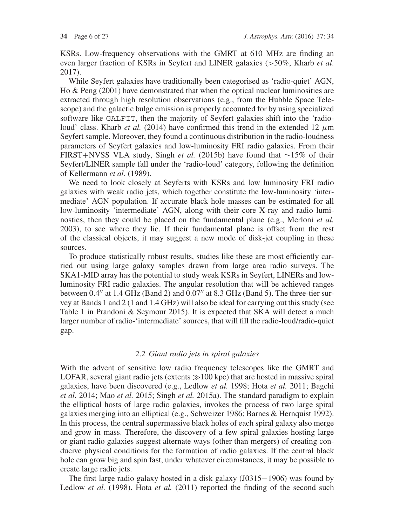KSRs. Low-frequency observations with the GMRT at 610 MHz are finding an even larger fraction of KSRs in Seyfert and LINER galaxies (>50%, Kharb *et al*. 2017).

While Seyfert galaxies have traditionally been categorised as 'radio-quiet' AGN, Ho & Peng (2001) have demonstrated that when the optical nuclear luminosities are extracted through high resolution observations (e.g., from the Hubble Space Telescope) and the galactic bulge emission is properly accounted for by using specialized software like GALFIT, then the majority of Seyfert galaxies shift into the 'radioloud' class. Kharb *et al.* (2014) have confirmed this trend in the extended 12  $\mu$ m Seyfert sample. Moreover, they found a continuous distribution in the radio-loudness parameters of Seyfert galaxies and low-luminosity FRI radio galaxies. From their FIRST+NVSS VLA study, Singh *et al.* (2015b) have found that ∼15% of their Seyfert/LINER sample fall under the 'radio-loud' category, following the definition of Kellermann *et al.* (1989).

We need to look closely at Seyferts with KSRs and low luminosity FRI radio galaxies with weak radio jets, which together constitute the low-luminosity 'intermediate' AGN population. If accurate black hole masses can be estimated for all low-luminosity 'intermediate' AGN, along with their core X-ray and radio luminosties, then they could be placed on the fundamental plane (e.g., Merloni *et al.* 2003), to see where they lie. If their fundamental plane is offset from the rest of the classical objects, it may suggest a new mode of disk-jet coupling in these sources.

To produce statistically robust results, studies like these are most efficiently carried out using large galaxy samples drawn from large area radio surveys. The SKA1-MID array has the potential to study weak KSRs in Seyfert, LINERs and lowluminosity FRI radio galaxies. The angular resolution that will be achieved ranges between  $0.4''$  at 1.4 GHz (Band 2) and  $0.07''$  at 8.3 GHz (Band 5). The three-tier survey at Bands 1 and 2 (1 and 1.4 GHz) will also be ideal for carrying out this study (see Table 1 in Prandoni & Seymour 2015). It is expected that SKA will detect a much larger number of radio-'intermediate' sources, that will fill the radio-loud/radio-quiet gap.

## 2.2 *Giant radio jets in spiral galaxies*

With the advent of sensitive low radio frequency telescopes like the GMRT and LOFAR, several giant radio jets (extents  $\gg$ 100 kpc) that are hosted in massive spiral galaxies, have been discovered (e.g., Ledlow *et al.* 1998; Hota *et al.* 2011; Bagchi *et al.* 2014; Mao *et al.* 2015; Singh *et al.* 2015a). The standard paradigm to explain the elliptical hosts of large radio galaxies, invokes the process of two large spiral galaxies merging into an elliptical (e.g., Schweizer 1986; Barnes & Hernquist 1992). In this process, the central supermassive black holes of each spiral galaxy also merge and grow in mass. Therefore, the discovery of a few spiral galaxies hosting large or giant radio galaxies suggest alternate ways (other than mergers) of creating conducive physical conditions for the formation of radio galaxies. If the central black hole can grow big and spin fast, under whatever circumstances, it may be possible to create large radio jets.

The first large radio galaxy hosted in a disk galaxy (J0315−1906) was found by Ledlow *et al.* (1998). Hota *et al.* (2011) reported the finding of the second such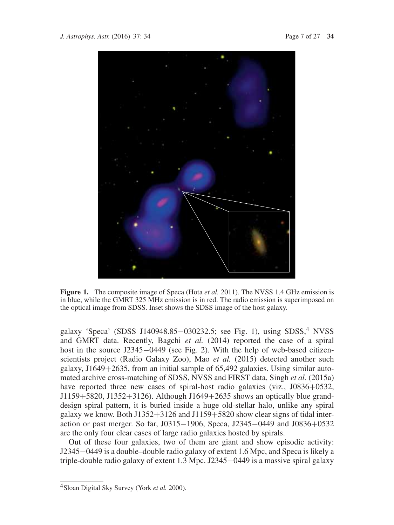

**Figure 1.** The composite image of Speca (Hota *et al.* 2011). The NVSS 1.4 GHz emission is in blue, while the GMRT 325 MHz emission is in red. The radio emission is superimposed on the optical image from SDSS. Inset shows the SDSS image of the host galaxy.

galaxy 'Speca' (SDSS J140948.85–030232.5; see Fig. 1), using SDSS,<sup>4</sup> NVSS and GMRT data. Recently, Bagchi *et al.* (2014) reported the case of a spiral host in the source J2345−0449 (see Fig. 2). With the help of web-based citizenscientists project (Radio Galaxy Zoo), Mao *et al.* (2015) detected another such galaxy,  $J1649+2635$ , from an initial sample of 65,492 galaxies. Using similar automated archive cross-matching of SDSS, NVSS and FIRST data, Singh *et al.* (2015a) have reported three new cases of spiral-host radio galaxies (viz., J0836+0532, J1159+5820, J1352+3126). Although J1649+2635 shows an optically blue granddesign spiral pattern, it is buried inside a huge old-stellar halo, unlike any spiral galaxy we know. Both J1352+3126 and J1159+5820 show clear signs of tidal interaction or past merger. So far, J0315−1906, Speca, J2345−0449 and J0836+0532 are the only four clear cases of large radio galaxies hosted by spirals.

Out of these four galaxies, two of them are giant and show episodic activity: J2345−0449 is a double–double radio galaxy of extent 1.6 Mpc, and Speca is likely a triple-double radio galaxy of extent 1.3 Mpc. J2345−0449 is a massive spiral galaxy

<sup>4</sup>Sloan Digital Sky Survey (York *et al.* 2000).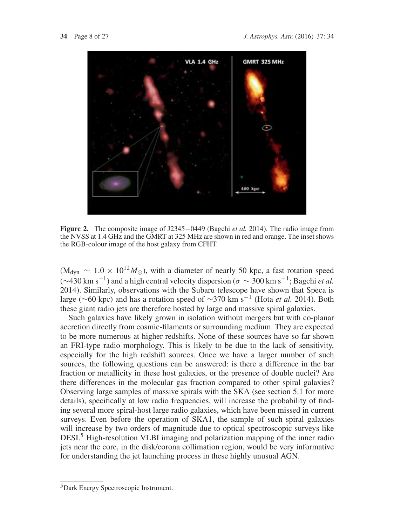

**Figure 2.** The composite image of J2345−0449 (Bagchi *et al.* 2014). The radio image from the NVSS at 1.4 GHz and the GMRT at 325 MHz are shown in red and orange. The inset shows the RGB-colour image of the host galaxy from CFHT.

 $(M_{\text{dyn}} \sim 1.0 \times 10^{12} M_{\odot})$ , with a diameter of nearly 50 kpc, a fast rotation speed  $(∼430 \text{ km s}^{-1})$  and a high central velocity dispersion ( $σ ~ √ 300 \text{ km s}^{-1}$ ; Bagchi *et al.* 2014). Similarly, observations with the Subaru telescope have shown that Speca is large (∼60 kpc) and has a rotation speed of <sup>∼</sup>370 km s−<sup>1</sup> (Hota *et al.* 2014). Both these giant radio jets are therefore hosted by large and massive spiral galaxies.

Such galaxies have likely grown in isolation without mergers but with co-planar accretion directly from cosmic-filaments or surrounding medium. They are expected to be more numerous at higher redshifts. None of these sources have so far shown an FRI-type radio morphology. This is likely to be due to the lack of sensitivity, especially for the high redshift sources. Once we have a larger number of such sources, the following questions can be answered: is there a difference in the bar fraction or metallicity in these host galaxies, or the presence of double nuclei? Are there differences in the molecular gas fraction compared to other spiral galaxies? Observing large samples of massive spirals with the SKA (see section 5.1 for more details), specifically at low radio frequencies, will increase the probability of finding several more spiral-host large radio galaxies, which have been missed in current surveys. Even before the operation of SKA1, the sample of such spiral galaxies will increase by two orders of magnitude due to optical spectroscopic surveys like DESI.<sup>5</sup> High-resolution VLBI imaging and polarization mapping of the inner radio jets near the core, in the disk/corona collimation region, would be very informative for understanding the jet launching process in these highly unusual AGN.

<sup>5</sup>Dark Energy Spectroscopic Instrument.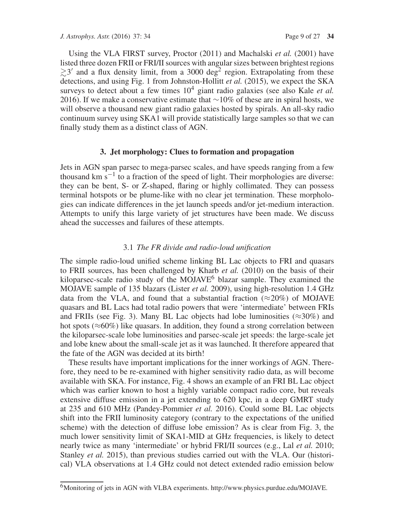Using the VLA FIRST survey, Proctor (2011) and Machalski *et al.* (2001) have listed three dozen FRII or FRI/II sources with angular sizes between brightest regions  $\gtrsim$  3' and a flux density limit, from a 3000 deg<sup>2</sup> region. Extrapolating from these detections, and using Fig. 1 from Johnston-Hollitt *et al.* (2015), we expect the SKA surveys to detect about a few times  $10^4$  giant radio galaxies (see also Kale *et al.*) 2016). If we make a conservative estimate that  $\sim$ 10% of these are in spiral hosts, we will observe a thousand new giant radio galaxies hosted by spirals. An all-sky radio continuum survey using SKA1 will provide statistically large samples so that we can finally study them as a distinct class of AGN.

### **3. Jet morphology: Clues to formation and propagation**

Jets in AGN span parsec to mega-parsec scales, and have speeds ranging from a few thousand km  $s^{-1}$  to a fraction of the speed of light. Their morphologies are diverse: they can be bent, S- or Z-shaped, flaring or highly collimated. They can possess terminal hotspots or be plume-like with no clear jet termination. These morphologies can indicate differences in the jet launch speeds and/or jet-medium interaction. Attempts to unify this large variety of jet structures have been made. We discuss ahead the successes and failures of these attempts.

#### 3.1 *The FR divide and radio-loud unification*

The simple radio-loud unified scheme linking BL Lac objects to FRI and quasars to FRII sources, has been challenged by Kharb *et al.* (2010) on the basis of their kiloparsec-scale radio study of the MOJAVE $^6$  blazar sample. They examined the MOJAVE sample of 135 blazars (Lister *et al.* 2009), using high-resolution 1.4 GHz data from the VLA, and found that a substantial fraction ( $\approx$ 20%) of MOJAVE quasars and BL Lacs had total radio powers that were 'intermediate' between FRIs and FRIIs (see Fig. 3). Many BL Lac objects had lobe luminosities ( $\approx 30\%$ ) and hot spots ( $\approx 60\%$ ) like quasars. In addition, they found a strong correlation between the kiloparsec-scale lobe luminosities and parsec-scale jet speeds: the large-scale jet and lobe knew about the small-scale jet as it was launched. It therefore appeared that the fate of the AGN was decided at its birth!

These results have important implications for the inner workings of AGN. Therefore, they need to be re-examined with higher sensitivity radio data, as will become available with SKA. For instance, Fig. 4 shows an example of an FRI BL Lac object which was earlier known to host a highly variable compact radio core, but reveals extensive diffuse emission in a jet extending to 620 kpc, in a deep GMRT study at 235 and 610 MHz (Pandey-Pommier *et al.* 2016). Could some BL Lac objects shift into the FRII luminosity category (contrary to the expectations of the unified scheme) with the detection of diffuse lobe emission? As is clear from Fig. 3, the much lower sensitivity limit of SKA1-MID at GHz frequencies, is likely to detect nearly twice as many 'intermediate' or hybrid FRI/II sources (e.g., Lal *et al.* 2010; Stanley *et al.* 2015), than previous studies carried out with the VLA. Our (historical) VLA observations at 1.4 GHz could not detect extended radio emission below

<sup>&</sup>lt;sup>6</sup>Monitoring of jets in AGN with VLBA experiments. http://www.physics.purdue.edu/MOJAVE.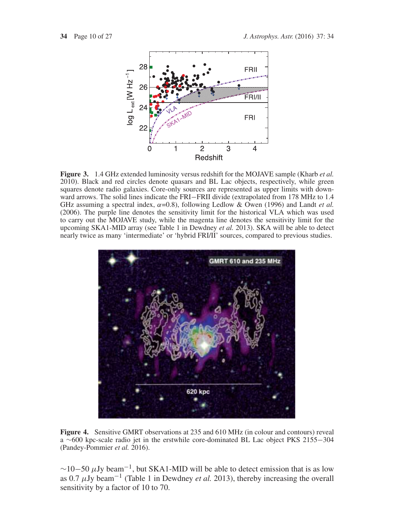

**Figure 3.** 1.4 GHz extended luminosity versus redshift for the MOJAVE sample (Kharb *et al.* 2010). Black and red circles denote quasars and BL Lac objects, respectively, while green squares denote radio galaxies. Core-only sources are represented as upper limits with downward arrows. The solid lines indicate the FRI−FRII divide (extrapolated from 178 MHz to 1.4 GHz assuming a spectral index,  $\alpha$ =0.8), following Ledlow & Owen (1996) and Landt *et al.* (2006). The purple line denotes the sensitivity limit for the historical VLA which was used to carry out the MOJAVE study, while the magenta line denotes the sensitivity limit for the upcoming SKA1-MID array (see Table 1 in Dewdney *et al.* 2013). SKA will be able to detect nearly twice as many 'intermediate' or 'hybrid FRI/II' sources, compared to previous studies.



**Figure 4.** Sensitive GMRT observations at 235 and 610 MHz (in colour and contours) reveal a ∼600 kpc-scale radio jet in the erstwhile core-dominated BL Lac object PKS 2155−304 (Pandey-Pommier *et al.* 2016).

 $\sim$ 10−50  $\mu$ Jy beam<sup>-1</sup>, but SKA1-MID will be able to detect emission that is as low as 0.7  $\mu$ Jy beam<sup>-1</sup> (Table 1 in Dewdney *et al.* 2013), thereby increasing the overall sensitivity by a factor of 10 to 70.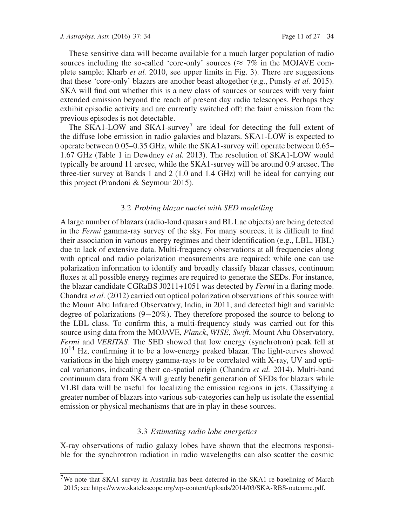These sensitive data will become available for a much larger population of radio sources including the so-called 'core-only' sources ( $\approx$  7% in the MOJAVE complete sample; Kharb *et al.* 2010, see upper limits in Fig. 3). There are suggestions that these 'core-only' blazars are another beast altogether (e.g., Punsly *et al.* 2015). SKA will find out whether this is a new class of sources or sources with very faint extended emission beyond the reach of present day radio telescopes. Perhaps they exhibit episodic activity and are currently switched off: the faint emission from the previous episodes is not detectable.

The SKA1-LOW and SKA1-survey<sup>7</sup> are ideal for detecting the full extent of the diffuse lobe emission in radio galaxies and blazars. SKA1-LOW is expected to operate between 0.05–0.35 GHz, while the SKA1-survey will operate between 0.65– 1.67 GHz (Table 1 in Dewdney *et al.* 2013). The resolution of SKA1-LOW would typically be around 11 arcsec, while the SKA1-survey will be around 0.9 arcsec. The three-tier survey at Bands 1 and 2 (1.0 and 1.4 GHz) will be ideal for carrying out this project (Prandoni & Seymour 2015).

#### 3.2 *Probing blazar nuclei with SED modelling*

A large number of blazars (radio-loud quasars and BL Lac objects) are being detected in the *Fermi* gamma-ray survey of the sky. For many sources, it is difficult to find their association in various energy regimes and their identification (e.g., LBL, HBL) due to lack of extensive data. Multi-frequency observations at all frequencies along with optical and radio polarization measurements are required: while one can use polarization information to identify and broadly classify blazar classes, continuum fluxes at all possible energy regimes are required to generate the SEDs. For instance, the blazar candidate CGRaBS J0211+1051 was detected by *Fermi* in a flaring mode. Chandra *et al.* (2012) carried out optical polarization observations of this source with the Mount Abu Infrared Observatory, India, in 2011, and detected high and variable degree of polarizations (9−20%). They therefore proposed the source to belong to the LBL class. To confirm this, a multi-frequency study was carried out for this source using data from the MOJAVE, *Planck*, *WISE*, *Swift*, Mount Abu Observatory, *Fermi* and *VERITAS*. The SED showed that low energy (synchrotron) peak fell at  $10^{14}$  Hz, confirming it to be a low-energy peaked blazar. The light-curves showed variations in the high energy gamma-rays to be correlated with X-ray, UV and optical variations, indicating their co-spatial origin (Chandra *et al.* 2014). Multi-band continuum data from SKA will greatly benefit generation of SEDs for blazars while VLBI data will be useful for localizing the emission regions in jets. Classifying a greater number of blazars into various sub-categories can help us isolate the essential emission or physical mechanisms that are in play in these sources.

#### 3.3 *Estimating radio lobe energetics*

X-ray observations of radio galaxy lobes have shown that the electrons responsible for the synchrotron radiation in radio wavelengths can also scatter the cosmic

<sup>&</sup>lt;sup>7</sup>We note that SKA1-survey in Australia has been deferred in the SKA1 re-baselining of March 2015; see https://www.skatelescope.org/wp-content/uploads/2014/03/SKA-RBS-outcome.pdf.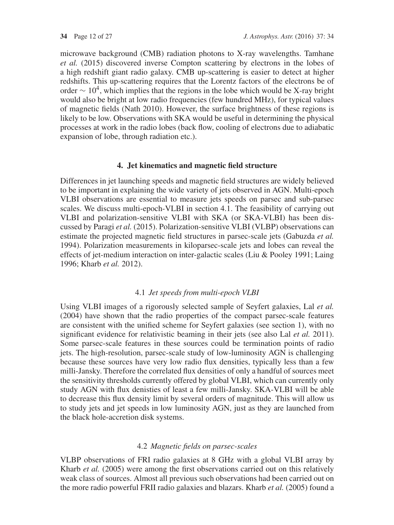microwave background (CMB) radiation photons to X-ray wavelengths. Tamhane *et al.* (2015) discovered inverse Compton scattering by electrons in the lobes of a high redshift giant radio galaxy. CMB up-scattering is easier to detect at higher redshifts. This up-scattering requires that the Lorentz factors of the electrons be of order  $\sim 10^4$ , which implies that the regions in the lobe which would be X-ray bright would also be bright at low radio frequencies (few hundred MHz), for typical values of magnetic fields (Nath 2010). However, the surface brightness of these regions is likely to be low. Observations with SKA would be useful in determining the physical processes at work in the radio lobes (back flow, cooling of electrons due to adiabatic expansion of lobe, through radiation etc.).

## **4. Jet kinematics and magnetic field structure**

Differences in jet launching speeds and magnetic field structures are widely believed to be important in explaining the wide variety of jets observed in AGN. Multi-epoch VLBI observations are essential to measure jets speeds on parsec and sub-parsec scales. We discuss multi-epoch-VLBI in section 4.1. The feasibility of carrying out VLBI and polarization-sensitive VLBI with SKA (or SKA-VLBI) has been discussed by Paragi *et al.* (2015). Polarization-sensitive VLBI (VLBP) observations can estimate the projected magnetic field structures in parsec-scale jets (Gabuzda *et al.* 1994). Polarization measurements in kiloparsec-scale jets and lobes can reveal the effects of jet-medium interaction on inter-galactic scales (Liu & Pooley 1991; Laing 1996; Kharb *et al.* 2012).

## 4.1 *Jet speeds from multi-epoch VLBI*

Using VLBI images of a rigorously selected sample of Seyfert galaxies, Lal *et al.* (2004) have shown that the radio properties of the compact parsec-scale features are consistent with the unified scheme for Seyfert galaxies (see section 1), with no significant evidence for relativistic beaming in their jets (see also Lal *et al.* 2011). Some parsec-scale features in these sources could be termination points of radio jets. The high-resolution, parsec-scale study of low-luminosity AGN is challenging because these sources have very low radio flux densities, typically less than a few milli-Jansky. Therefore the correlated flux densities of only a handful of sources meet the sensitivity thresholds currently offered by global VLBI, which can currently only study AGN with flux denisties of least a few milli-Jansky. SKA-VLBI will be able to decrease this flux density limit by several orders of magnitude. This will allow us to study jets and jet speeds in low luminosity AGN, just as they are launched from the black hole-accretion disk systems.

## 4.2 *Magnetic fields on parsec-scales*

VLBP observations of FRI radio galaxies at 8 GHz with a global VLBI array by Kharb *et al.* (2005) were among the first observations carried out on this relatively weak class of sources. Almost all previous such observations had been carried out on the more radio powerful FRII radio galaxies and blazars. Kharb *et al.* (2005) found a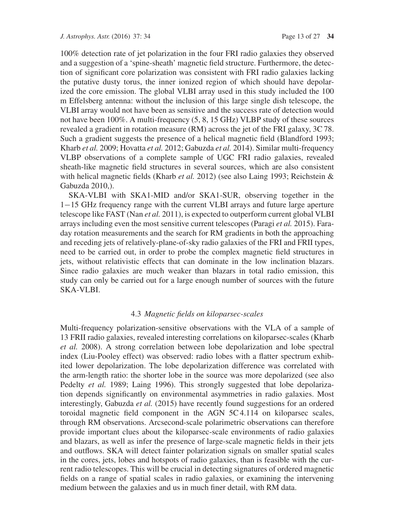100% detection rate of jet polarization in the four FRI radio galaxies they observed and a suggestion of a 'spine-sheath' magnetic field structure. Furthermore, the detection of significant core polarization was consistent with FRI radio galaxies lacking the putative dusty torus, the inner ionized region of which should have depolarized the core emission. The global VLBI array used in this study included the 100 m Effelsberg antenna: without the inclusion of this large single dish telescope, the VLBI array would not have been as sensitive and the success rate of detection would not have been 100%. A multi-frequency (5, 8, 15 GHz) VLBP study of these sources revealed a gradient in rotation measure (RM) across the jet of the FRI galaxy, 3C 78. Such a gradient suggests the presence of a helical magnetic field (Blandford 1993; Kharb *et al.* 2009; Hovatta *et al.* 2012; Gabuzda *et al.* 2014). Similar multi-frequency VLBP observations of a complete sample of UGC FRI radio galaxies, revealed sheath-like magnetic field structures in several sources, which are also consistent with helical magnetic fields (Kharb *et al.* 2012) (see also Laing 1993; Reichstein & Gabuzda 2010,).

SKA-VLBI with SKA1-MID and/or SKA1-SUR, observing together in the 1−15 GHz frequency range with the current VLBI arrays and future large aperture telescope like FAST (Nan *et al.* 2011), is expected to outperform current global VLBI arrays including even the most sensitive current telescopes (Paragi *et al.* 2015). Faraday rotation measurements and the search for RM gradients in both the approaching and receding jets of relatively-plane-of-sky radio galaxies of the FRI and FRII types, need to be carried out, in order to probe the complex magnetic field structures in jets, without relativistic effects that can dominate in the low inclination blazars. Since radio galaxies are much weaker than blazars in total radio emission, this study can only be carried out for a large enough number of sources with the future SKA-VLBI.

### 4.3 *Magnetic fields on kiloparsec-scales*

Multi-frequency polarization-sensitive observations with the VLA of a sample of 13 FRII radio galaxies, revealed interesting correlations on kiloparsec-scales (Kharb *et al.* 2008). A strong correlation between lobe depolarization and lobe spectral index (Liu-Pooley effect) was observed: radio lobes with a flatter spectrum exhibited lower depolarization. The lobe depolarization difference was correlated with the arm-length ratio: the shorter lobe in the source was more depolarized (see also Pedelty *et al.* 1989; Laing 1996). This strongly suggested that lobe depolarization depends significantly on environmental asymmetries in radio galaxies. Most interestingly, Gabuzda *et al.* (2015) have recently found suggestions for an ordered toroidal magnetic field component in the AGN 5C 4.114 on kiloparsec scales, through RM observations. Arcsecond-scale polarimetric observations can therefore provide important clues about the kiloparsec-scale environments of radio galaxies and blazars, as well as infer the presence of large-scale magnetic fields in their jets and outflows. SKA will detect fainter polarization signals on smaller spatial scales in the cores, jets, lobes and hotspots of radio galaxies, than is feasible with the current radio telescopes. This will be crucial in detecting signatures of ordered magnetic fields on a range of spatial scales in radio galaxies, or examining the intervening medium between the galaxies and us in much finer detail, with RM data.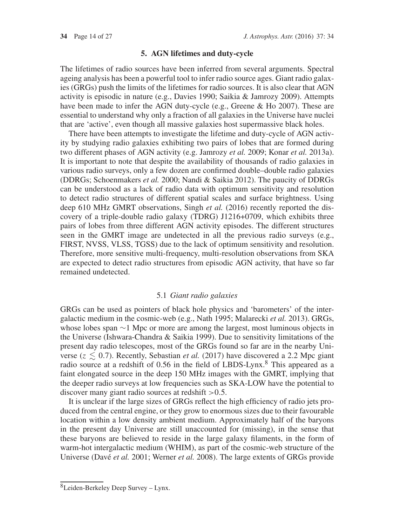#### **5. AGN lifetimes and duty-cycle**

The lifetimes of radio sources have been inferred from several arguments. Spectral ageing analysis has been a powerful tool to infer radio source ages. Giant radio galaxies (GRGs) push the limits of the lifetimes for radio sources. It is also clear that AGN activity is episodic in nature (e.g., Davies 1990; Saikia & Jamrozy 2009). Attempts have been made to infer the AGN duty-cycle (e.g., Greene & Ho 2007). These are essential to understand why only a fraction of all galaxies in the Universe have nuclei that are 'active', even though all massive galaxies host supermassive black holes.

There have been attempts to investigate the lifetime and duty-cycle of AGN activity by studying radio galaxies exhibiting two pairs of lobes that are formed during two different phases of AGN activity (e.g. Jamrozy *et al.* 2009; Konar *et al.* 2013a). It is important to note that despite the availability of thousands of radio galaxies in various radio surveys, only a few dozen are confirmed double–double radio galaxies (DDRGs; Schoenmakers *et al.* 2000; Nandi & Saikia 2012). The paucity of DDRGs can be understood as a lack of radio data with optimum sensitivity and resolution to detect radio structures of different spatial scales and surface brightness. Using deep 610 MHz GMRT observations, Singh *et al.* (2016) recently reported the discovery of a triple-double radio galaxy (TDRG) J1216+0709, which exhibits three pairs of lobes from three different AGN activity episodes. The different structures seen in the GMRT image are undetected in all the previous radio surveys (e.g., FIRST, NVSS, VLSS, TGSS) due to the lack of optimum sensitivity and resolution. Therefore, more sensitive multi-frequency, multi-resolution observations from SKA are expected to detect radio structures from episodic AGN activity, that have so far remained undetected.

#### 5.1 *Giant radio galaxies*

GRGs can be used as pointers of black hole physics and 'barometers' of the intergalactic medium in the cosmic-web (e.g., Nath 1995; Malarecki *et al.* 2013). GRGs, whose lobes span ∼1 Mpc or more are among the largest, most luminous objects in the Universe (Ishwara-Chandra & Saikia 1999). Due to sensitivity limitations of the present day radio telescopes, most of the GRGs found so far are in the nearby Universe ( $z \leq 0.7$ ). Recently, Sebastian *et al.* (2017) have discovered a 2.2 Mpc giant radio source at a redshift of 0.56 in the field of LBDS-Lynx.<sup>8</sup> This appeared as a faint elongated source in the deep 150 MHz images with the GMRT, implying that the deeper radio surveys at low frequencies such as SKA-LOW have the potential to discover many giant radio sources at redshift  $>0.5$ .

It is unclear if the large sizes of GRGs reflect the high efficiency of radio jets produced from the central engine, or they grow to enormous sizes due to their favourable location within a low density ambient medium. Approximately half of the baryons in the present day Universe are still unaccounted for (missing), in the sense that these baryons are believed to reside in the large galaxy filaments, in the form of warm-hot intergalactic medium (WHIM), as part of the cosmic-web structure of the Universe (Davé *et al.* 2001; Werner *et al.* 2008). The large extents of GRGs provide

<sup>8</sup>Leiden-Berkeley Deep Survey – Lynx.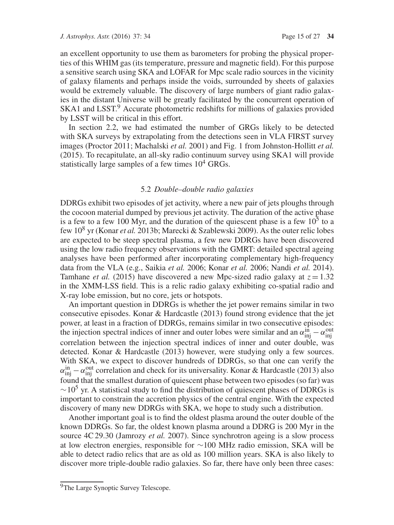an excellent opportunity to use them as barometers for probing the physical properties of this WHIM gas (its temperature, pressure and magnetic field). For this purpose a sensitive search using SKA and LOFAR for Mpc scale radio sources in the vicinity of galaxy filaments and perhaps inside the voids, surrounded by sheets of galaxies would be extremely valuable. The discovery of large numbers of giant radio galaxies in the distant Universe will be greatly facilitated by the concurrent operation of SKA1 and LSST.<sup>9</sup> Accurate photometric redshifts for millions of galaxies provided by LSST will be critical in this effort.

In section 2.2, we had estimated the number of GRGs likely to be detected with SKA surveys by extrapolating from the detections seen in VLA FIRST survey images (Proctor 2011; Machalski *et al.* 2001) and Fig. 1 from Johnston-Hollitt *et al.* (2015). To recapitulate, an all-sky radio continuum survey using SKA1 will provide statistically large samples of a few times  $10^4$  GRGs.

#### 5.2 *Double–double radio galaxies*

DDRGs exhibit two episodes of jet activity, where a new pair of jets ploughs through the cocoon material dumped by previous jet activity. The duration of the active phase is a few to a few 100 Myr, and the duration of the quiescent phase is a few  $10^5$  to a few 10<sup>8</sup> yr (Konar *et al.* 2013b; Marecki & Szablewski 2009). As the outer relic lobes are expected to be steep spectral plasma, a few new DDRGs have been discovered using the low radio frequency observations with the GMRT: detailed spectral ageing analyses have been performed after incorporating complementary high-frequency data from the VLA (e.g., Saikia *et al.* 2006; Konar *et al.* 2006; Nandi *et al.* 2014). Tamhane *et al.* (2015) have discovered a new Mpc-sized radio galaxy at  $z = 1.32$ in the XMM-LSS field. This is a relic radio galaxy exhibiting co-spatial radio and X-ray lobe emission, but no core, jets or hotspots.

An important question in DDRGs is whether the jet power remains similar in two consecutive episodes. Konar & Hardcastle (2013) found strong evidence that the jet power, at least in a fraction of DDRGs, remains similar in two consecutive episodes: the injection spectral indices of inner and outer lobes were similar and an  $\alpha_{\rm inj}^{\rm in} - \alpha_{\rm inj}^{\rm out}$ correlation between the injection spectral indices of inner and outer double, was detected. Konar & Hardcastle (2013) however, were studying only a few sources. With SKA, we expect to discover hundreds of DDRGs, so that one can verify the  $\alpha_{\rm inj}^{\rm in} - \alpha_{\rm inj}^{\rm out}$  correlation and check for its universality. Konar & Hardcastle (2013) also found that the smallest duration of quiescent phase between two episodes (so far) was  $\sim$ 10<sup>5</sup> yr. A statistical study to find the distribution of quiescent phases of DDRGs is important to constrain the accretion physics of the central engine. With the expected discovery of many new DDRGs with SKA, we hope to study such a distribution.

Another important goal is to find the oldest plasma around the outer double of the known DDRGs. So far, the oldest known plasma around a DDRG is 200 Myr in the source 4C 29.30 (Jamrozy *et al.* 2007). Since synchrotron ageing is a slow process at low electron energies, responsible for ∼100 MHz radio emission, SKA will be able to detect radio relics that are as old as 100 million years. SKA is also likely to discover more triple-double radio galaxies. So far, there have only been three cases:

<sup>&</sup>lt;sup>9</sup>The Large Synoptic Survey Telescope.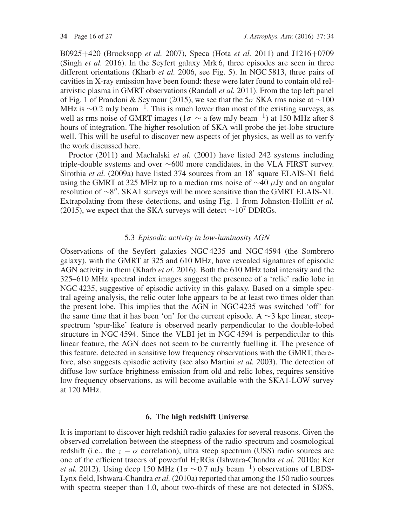B0925+420 (Brocksopp *et al.* 2007), Speca (Hota *et al.* 2011) and J1216+0709 (Singh *et al.* 2016). In the Seyfert galaxy Mrk 6, three episodes are seen in three different orientations (Kharb *et al.* 2006, see Fig. 5). In NGC 5813, three pairs of cavities in X-ray emission have been found: these were later found to contain old relativistic plasma in GMRT observations (Randall *et al.* 2011). From the top left panel of Fig. 1 of Prandoni & Seymour (2015), we see that the 5σ SKA rms noise at  $\sim$ 100 MHz is  $\sim$ 0.2 mJy beam<sup>-1</sup>. This is much lower than most of the existing surveys, as well as rms noise of GMRT images ( $1\sigma \sim a$  few mJy beam<sup>-1</sup>) at 150 MHz after 8 hours of integration. The higher resolution of SKA will probe the jet-lobe structure well. This will be useful to discover new aspects of jet physics, as well as to verify the work discussed here.

Proctor (2011) and Machalski *et al.* (2001) have listed 242 systems including triple-double systems and over ∼600 more candidates, in the VLA FIRST survey. Sirothia et al. (2009a) have listed 374 sources from an 18' square ELAIS-N1 field using the GMRT at 325 MHz up to a median rms noise of  $\sim$ 40 µJy and an angular resolution of ∼8". SKA1 surveys will be more sensitive than the GMRT ELAIS-N1. Extrapolating from these detections, and using Fig. 1 from Johnston-Hollitt *et al.* (2015), we expect that the SKA surveys will detect  $\sim 10^7$  DDRGs.

### 5.3 *Episodic activity in low-luminosity AGN*

Observations of the Seyfert galaxies NGC 4235 and NGC 4594 (the Sombrero galaxy), with the GMRT at 325 and 610 MHz, have revealed signatures of episodic AGN activity in them (Kharb *et al.* 2016). Both the 610 MHz total intensity and the 325–610 MHz spectral index images suggest the presence of a 'relic' radio lobe in NGC 4235, suggestive of episodic activity in this galaxy. Based on a simple spectral ageing analysis, the relic outer lobe appears to be at least two times older than the present lobe. This implies that the AGN in NGC 4235 was switched 'off' for the same time that it has been 'on' for the current episode. A  $\sim$ 3 kpc linear, steepspectrum 'spur-like' feature is observed nearly perpendicular to the double-lobed structure in NGC 4594. Since the VLBI jet in NGC 4594 is perpendicular to this linear feature, the AGN does not seem to be currently fuelling it. The presence of this feature, detected in sensitive low frequency observations with the GMRT, therefore, also suggests episodic activity (see also Martini *et al.* 2003). The detection of diffuse low surface brightness emission from old and relic lobes, requires sensitive low frequency observations, as will become available with the SKA1-LOW survey at 120 MHz.

### **6. The high redshift Universe**

It is important to discover high redshift radio galaxies for several reasons. Given the observed correlation between the steepness of the radio spectrum and cosmological redshift (i.e., the  $z - \alpha$  correlation), ultra steep spectrum (USS) radio sources are one of the efficient tracers of powerful HzRGs (Ishwara-Chandra *et al.* 2010a; Ker *et al.* 2012). Using deep 150 MHz ( $1\sigma \sim 0.7$  mJy beam<sup>-1</sup>) observations of LBDS-Lynx field, Ishwara-Chandra *et al.* (2010a) reported that among the 150 radio sources with spectra steeper than 1.0, about two-thirds of these are not detected in SDSS,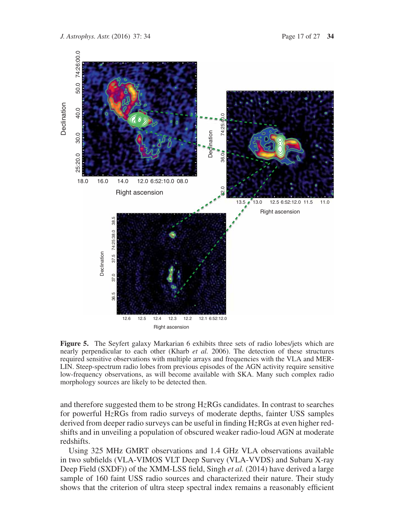

**Figure 5.** The Seyfert galaxy Markarian 6 exhibits three sets of radio lobes/jets which are nearly perpendicular to each other (Kharb *et al.* 2006). The detection of these structures required sensitive observations with multiple arrays and frequencies with the VLA and MER-LIN. Steep-spectrum radio lobes from previous episodes of the AGN activity require sensitive low-frequency observations, as will become available with SKA. Many such complex radio morphology sources are likely to be detected then.

and therefore suggested them to be strong  $HzRGs$  candidates. In contrast to searches for powerful HzRGs from radio surveys of moderate depths, fainter USS samples derived from deeper radio surveys can be useful in finding HzRGs at even higher redshifts and in unveiling a population of obscured weaker radio-loud AGN at moderate redshifts.

Using 325 MHz GMRT observations and 1.4 GHz VLA observations available in two subfields (VLA-VIMOS VLT Deep Survey (VLA-VVDS) and Subaru X-ray Deep Field (SXDF)) of the XMM-LSS field, Singh *et al.* (2014) have derived a large sample of 160 faint USS radio sources and characterized their nature. Their study shows that the criterion of ultra steep spectral index remains a reasonably efficient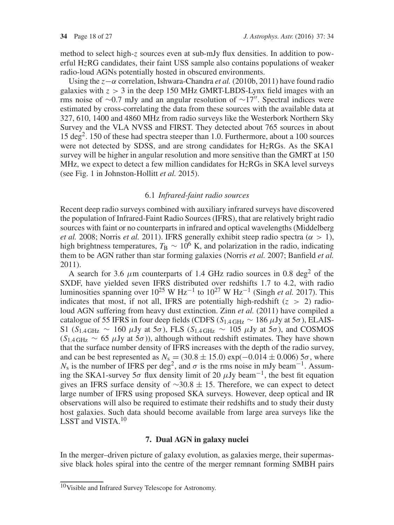method to select high-z sources even at sub-mJy flux densities. In addition to powerful HzRG candidates, their faint USS sample also contains populations of weaker radio-loud AGNs potentially hosted in obscured environments.

Using the z−α correlation, Ishwara-Chandra *et al.* (2010b, 2011) have found radio galaxies with  $z > 3$  in the deep 150 MHz GMRT-LBDS-Lynx field images with an rms noise of ∼0.7 mJy and an angular resolution of ∼17 . Spectral indices were estimated by cross-correlating the data from these sources with the available data at 327, 610, 1400 and 4860 MHz from radio surveys like the Westerbork Northern Sky Survey and the VLA NVSS and FIRST. They detected about 765 sources in about  $15 \text{ deg}^2$ . 150 of these had spectra steeper than 1.0. Furthermore, about a 100 sources were not detected by SDSS, and are strong candidates for HzRGs. As the SKA1 survey will be higher in angular resolution and more sensitive than the GMRT at 150 MHz, we expect to detect a few million candidates for HzRGs in SKA level surveys (see Fig. 1 in Johnston-Hollitt *et al.* 2015).

### 6.1 *Infrared-faint radio sources*

Recent deep radio surveys combined with auxiliary infrared surveys have discovered the population of Infrared-Faint Radio Sources (IFRS), that are relatively bright radio sources with faint or no counterparts in infrared and optical wavelengths (Middelberg *et al.* 2008; Norris *et al.* 2011). IFRS generally exhibit steep radio spectra ( $\alpha > 1$ ), high brightness temperatures,  $T<sub>B</sub> \sim 10<sup>6</sup>$  K, and polarization in the radio, indicating them to be AGN rather than star forming galaxies (Norris *et al.* 2007; Banfield *et al.* 2011).

A search for 3.6  $\mu$ m counterparts of 1.4 GHz radio sources in 0.8 deg<sup>2</sup> of the SXDF, have yielded seven IFRS distributed over redshifts 1.7 to 4.2, with radio luminosities spanning over  $10^{25}$  W Hz<sup>-1</sup> to  $10^{27}$  W Hz<sup>-1</sup> (Singh *et al.* 2017). This indicates that most, if not all, IFRS are potentially high-redshift  $(z > 2)$  radioloud AGN suffering from heavy dust extinction. Zinn *et al.* (2011) have compiled a catalogue of 55 IFRS in four deep fields (CDFS ( $S_{1.4 \text{ GHz}} \sim 186 \mu \text{Jy}$  at 5 $\sigma$ ), ELAIS-S1 ( $S_{1.4 \text{ GHz}} \sim 160 \mu \text{Jy}$  at 5 $\sigma$ ), FLS ( $S_{1.4 \text{ GHz}} \sim 105 \mu \text{Jy}$  at 5 $\sigma$ ), and COSMOS  $(S<sub>1.4</sub>GHz ~ 65 \mu Jy at 5\sigma)$ , although without redshift estimates. They have shown that the surface number density of IFRS increases with the depth of the radio survey, and can be best represented as  $N_s = (30.8 \pm 15.0) \exp(-0.014 \pm 0.006) 5\sigma$ , where  $N_s$  is the number of IFRS per deg<sup>2</sup>, and  $\sigma$  is the rms noise in mJy beam<sup>-1</sup>. Assuming the SKA1-survey 5 $\sigma$  flux density limit of 20  $\mu$ Jy beam<sup>-1</sup>, the best fit equation gives an IFRS surface density of  $\sim$ 30.8 ± 15. Therefore, we can expect to detect large number of IFRS using proposed SKA surveys. However, deep optical and IR observations will also be required to estimate their redshifts and to study their dusty host galaxies. Such data should become available from large area surveys like the LSST and VISTA.<sup>10</sup>

#### **7. Dual AGN in galaxy nuclei**

In the merger–driven picture of galaxy evolution, as galaxies merge, their supermassive black holes spiral into the centre of the merger remnant forming SMBH pairs

<sup>10</sup>Visible and Infrared Survey Telescope for Astronomy.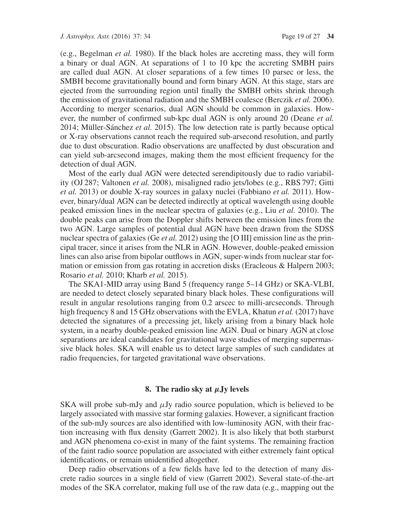(e.g., Begelman *et al.* 1980). If the black holes are accreting mass, they will form a binary or dual AGN. At separations of 1 to 10 kpc the accreting SMBH pairs are called dual AGN. At closer separations of a few times 10 parsec or less, the SMBH become gravitationally bound and form binary AGN. At this stage, stars are ejected from the surrounding region until finally the SMBH orbits shrink through the emission of gravitational radiation and the SMBH coalesce (Berczik *et al.* 2006). According to merger scenarios, dual AGN should be common in galaxies. However, the number of confirmed sub-kpc dual AGN is only around 20 (Deane *et al.* 2014; Müller-Sánchez *et al.* 2015). The low detection rate is partly because optical or X-ray observations cannot reach the required sub-arsecond resolution, and partly due to dust obscuration. Radio observations are unaffected by dust obscuration and can yield sub-arcsecond images, making them the most efficient frequency for the detection of dual AGN.

Most of the early dual AGN were detected serendipitously due to radio variability (OJ 287; Valtonen *et al.* 2008), misaligned radio jets/lobes (e.g., RBS 797; Gitti *et al.* 2013) or double X-ray sources in galaxy nuclei (Fabbiano *et al.* 2011). However, binary/dual AGN can be detected indirectly at optical wavelength using double peaked emission lines in the nuclear spectra of galaxies (e.g., Liu *et al.* 2010). The double peaks can arise from the Doppler shifts between the emission lines from the two AGN. Large samples of potential dual AGN have been drawn from the SDSS nuclear spectra of galaxies (Ge *et al.* 2012) using the [O III] emission line as the principal tracer, since it arises from the NLR in AGN. However, double-peaked emission lines can also arise from bipolar outflows in AGN, super-winds from nuclear star formation or emission from gas rotating in accretion disks (Eracleous & Halpern 2003; Rosario *et al.* 2010; Kharb *et al.* 2015).

The SKA1-MID array using Band 5 (frequency range 5–14 GHz) or SKA-VLBI, are needed to detect closely separated binary black holes. These configurations will result in angular resolutions ranging from 0.2 arscec to milli-arcseconds. Through high frequency 8 and 15 GHz observations with the EVLA, Khatun *et al.* (2017) have detected the signatures of a precessing jet, likely arising from a binary black hole system, in a nearby double-peaked emission line AGN. Dual or binary AGN at close separations are ideal candidates for gravitational wave studies of merging supermassive black holes. SKA will enable us to detect large samples of such candidates at radio frequencies, for targeted gravitational wave observations.

#### **8. The radio sky at** *μ***Jy levels**

SKA will probe sub-mJy and  $\mu$ Jy radio source population, which is believed to be largely associated with massive star forming galaxies. However, a significant fraction of the sub-mJy sources are also identified with low-luminosity AGN, with their fraction increasing with flux density (Garrett 2002). It is also likely that both starburst and AGN phenomena co-exist in many of the faint systems. The remaining fraction of the faint radio source population are associated with either extremely faint optical identifications, or remain unidentified altogether.

Deep radio observations of a few fields have led to the detection of many discrete radio sources in a single field of view (Garrett 2002). Several state-of-the-art modes of the SKA correlator, making full use of the raw data (e.g., mapping out the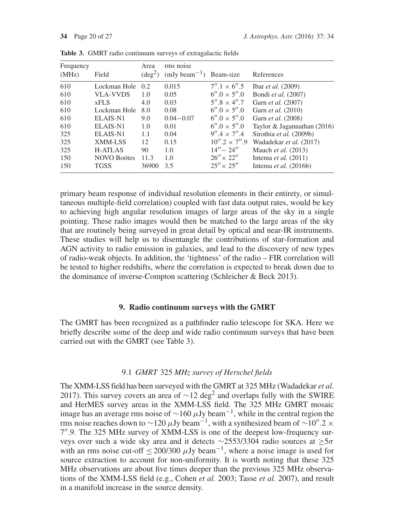| Frequency<br>(MHz) | Field              | Area<br>$(\text{deg}^2)$ | rms noise<br>$(mJy beam^{-1})$ Beam-size |                       | References                     |
|--------------------|--------------------|--------------------------|------------------------------------------|-----------------------|--------------------------------|
| 610                | Lockman Hole       | 0.2                      | 0.015                                    | $7''.1 \times 6''.5$  | Ibar <i>et al.</i> $(2009)$    |
| 610                | <b>VLA-VVDS</b>    | 1.0                      | 0.05                                     | $6''.0 \times 5''.0$  | Bondi et al. (2007)            |
| 610                | <b>xFLS</b>        | 4.0                      | 0.03                                     | $5''.8 \times 4''.7$  | Garn <i>et al.</i> (2007)      |
| 610                | Lockman Hole       | 8.0                      | 0.08                                     | $6''.0 \times 5''.0$  | Garn <i>et al.</i> (2010)      |
| 610                | ELAIS-N1           | 9.0                      | $0.04 - 0.07$                            | $6''.0 \times 5''.0$  | Garn <i>et al.</i> (2008)      |
| 610                | ELAIS-N1           | 1.0                      | 0.01                                     | $6''.0 \times 5''.0$  | Taylor & Jagannathan (2016)    |
| 325                | ELAIS-N1           | 1.1                      | 0.04                                     | $9''.4 \times 7''.4$  | Sirothia et al. (2009b)        |
| 325                | XMM-LSS            | 12                       | 0.15                                     | $10''.2 \times 7''.9$ | Wadadekar et al. (2017)        |
| 325                | <b>H-ATLAS</b>     | 90                       | 1.0                                      | $14'' - 24''$         | Mauch et al. (2013)            |
| 150                | <b>NOVO Boötes</b> | 11.3                     | 1.0                                      | $26'' \times 22''$    | Intema <i>et al.</i> $(2011)$  |
| 150                | <b>TGSS</b>        | 36900                    | 3.5                                      | $25'' \times 25''$    | Intema <i>et al.</i> $(2016b)$ |

**Table 3.** GMRT radio continuum surveys of extragalactic fields

primary beam response of individual resolution elements in their entirety, or simultaneous multiple-field correlation) coupled with fast data output rates, would be key to achieving high angular resolution images of large areas of the sky in a single pointing. These radio images would then be matched to the large areas of the sky that are routinely being surveyed in great detail by optical and near-IR instruments. These studies will help us to disentangle the contributions of star-formation and AGN activity to radio emission in galaxies, and lead to the discovery of new types of radio-weak objects. In addition, the 'tightness' of the radio – FIR correlation will be tested to higher redshifts, where the correlation is expected to break down due to the dominance of inverse-Compton scattering (Schleicher & Beck 2013).

### **9. Radio continuum surveys with the GMRT**

The GMRT has been recognized as a pathfinder radio telescope for SKA. Here we briefly describe some of the deep and wide radio continuum surveys that have been carried out with the GMRT (see Table 3).

### 9.1 *GMRT* 325 *MHz survey of Herschel fields*

The XMM-LSS field has been surveyed with the GMRT at 325 MHz (Wadadekar *et al*. 2017). This survey covers an area of  $\sim$ 12 deg<sup>2</sup> and overlaps fully with the SWIRE and HerMES survey areas in the XMM-LSS field. The 325 MHz GMRT mosaic image has an average rms noise of  $\sim$ 160  $\mu$ Jy beam<sup>-1</sup>, while in the central region the rms noise reaches down to ~120  $\mu$ Jy beam<sup>-1</sup>, with a synthesized beam of ~10".2 × 7 .9. The 325 MHz survey of XMM-LSS is one of the deepest low-frequency surveys over such a wide sky area and it detects ∼2553/3304 radio sources at ≥5σ with an rms noise cut-off  $\leq$  200/300  $\mu$ Jy beam<sup>-1</sup>, where a noise image is used for source extraction to account for non-uniformity. It is worth noting that these 325 MHz observations are about five times deeper than the previous 325 MHz observations of the XMM-LSS field (e.g., Cohen *et al.* 2003; Tasse *et al.* 2007), and result in a manifold increase in the source density.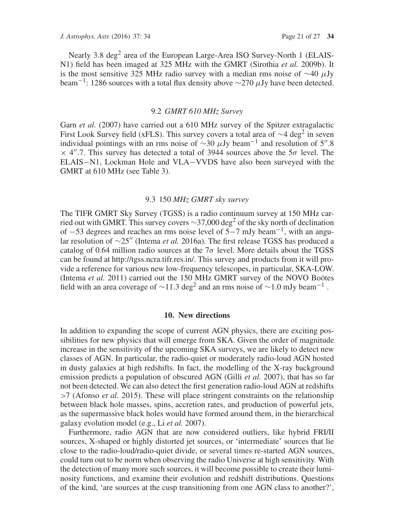Nearly 3.8 deg<sup>2</sup> area of the European Large-Area ISO Survey-North 1 (ELAIS-N1) field has been imaged at 325 MHz with the GMRT (Sirothia *et al.* 2009b). It is the most sensitive 325 MHz radio survey with a median rms noise of  $\sim$ 40  $\mu$ Jy beam<sup>-1</sup>: 1286 sources with a total flux density above  $\sim$ 270  $\mu$ Jy have been detected.

### 9.2 *GMRT 610 MHz Survey*

Garn *et al.* (2007) have carried out a 610 MHz survey of the Spitzer extragalactic First Look Survey field (xFLS). This survey covers a total area of  $\sim$ 4 deg<sup>2</sup> in seven individual pointings with an rms noise of  $\sim$ 30  $\mu$ Jy beam<sup>-1</sup> and resolution of 5".8  $\times$  4".7. This survey has detected a total of 3944 sources above the 5 $\sigma$  level. The ELAIS−N1, Lockman Hole and VLA−VVDS have also been surveyed with the GMRT at 610 MHz (see Table 3).

#### 9.3 150 *MHz GMRT sky survey*

The TIFR GMRT Sky Survey (TGSS) is a radio continuum survey at 150 MHz carried out with GMRT. This survey covers  $\sim$ 37,000 deg<sup>2</sup> of the sky north of declination of <sup>−</sup>53 degrees and reaches an rms noise level of 5−7 mJy beam−1, with an angular resolution of ∼25<sup>"</sup> (Intema *et al.* 2016a). The first release TGSS has produced a catalog of 0.64 million radio sources at the  $7\sigma$  level. More details about the TGSS can be found at http://tgss.ncra.tifr.res.in/. This survey and products from it will provide a reference for various new low-frequency telescopes, in particular, SKA-LOW. (Intema *et al.* 2011) carried out the 150 MHz GMRT survey of the NOVO Boötes field with an area coverage of ~11.3 deg<sup>2</sup> and an rms noise of ~1.0 mJy beam<sup>-1</sup>.

#### **10. New directions**

In addition to expanding the scope of current AGN physics, there are exciting possibilities for new physics that will emerge from SKA. Given the order of magnitude increase in the sensitivity of the upcoming SKA surveys, we are likely to detect new classes of AGN. In particular, the radio-quiet or moderately radio-loud AGN hosted in dusty galaxies at high redshifts. In fact, the modelling of the X-ray background emission predicts a population of obscured AGN (Gilli *et al.* 2007), that has so far not been detected. We can also detect the first generation radio-loud AGN at redshifts >7 (Afonso *et al.* 2015). These will place stringent constraints on the relationship between black hole masses, spins, accretion rates, and production of powerful jets, as the supermassive black holes would have formed around them, in the hierarchical galaxy evolution model (e.g., Li *et al.* 2007).

Furthermore, radio AGN that are now considered outliers, like hybrid FRI/II sources, X-shaped or highly distorted jet sources, or 'intermediate' sources that lie close to the radio-loud/radio-quiet divide, or several times re-started AGN sources, could turn out to be norm when observing the radio Universe at high sensitivity. With the detection of many more such sources, it will become possible to create their luminosity functions, and examine their evolution and redshift distributions. Questions of the kind, 'are sources at the cusp transitioning from one AGN class to another?',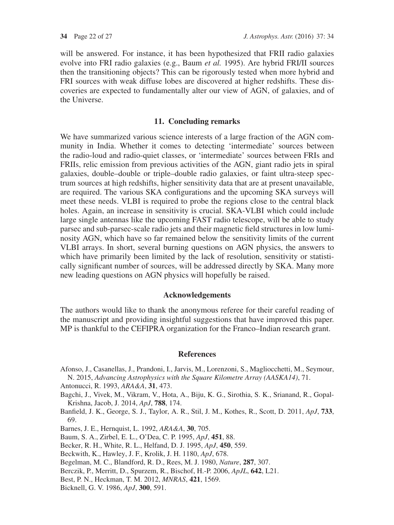will be answered. For instance, it has been hypothesized that FRII radio galaxies evolve into FRI radio galaxies (e.g., Baum *et al.* 1995). Are hybrid FRI/II sources then the transitioning objects? This can be rigorously tested when more hybrid and FRI sources with weak diffuse lobes are discovered at higher redshifts. These discoveries are expected to fundamentally alter our view of AGN, of galaxies, and of the Universe.

#### **11. Concluding remarks**

We have summarized various science interests of a large fraction of the AGN community in India. Whether it comes to detecting 'intermediate' sources between the radio-loud and radio-quiet classes, or 'intermediate' sources between FRIs and FRIIs, relic emission from previous activities of the AGN, giant radio jets in spiral galaxies, double–double or triple–double radio galaxies, or faint ultra-steep spectrum sources at high redshifts, higher sensitivity data that are at present unavailable, are required. The various SKA configurations and the upcoming SKA surveys will meet these needs. VLBI is required to probe the regions close to the central black holes. Again, an increase in sensitivity is crucial. SKA-VLBI which could include large single antennas like the upcoming FAST radio telescope, will be able to study parsec and sub-parsec-scale radio jets and their magnetic field structures in low luminosity AGN, which have so far remained below the sensitivity limits of the current VLBI arrays. In short, several burning questions on AGN physics, the answers to which have primarily been limited by the lack of resolution, sensitivity or statistically significant number of sources, will be addressed directly by SKA. Many more new leading questions on AGN physics will hopefully be raised.

#### **Acknowledgements**

The authors would like to thank the anonymous referee for their careful reading of the manuscript and providing insightful suggestions that have improved this paper. MP is thankful to the CEFIPRA organization for the Franco–Indian research grant.

#### **References**

Afonso, J., Casanellas, J., Prandoni, I., Jarvis, M., Lorenzoni, S., Magliocchetti, M., Seymour, N. 2015, *Advancing Astrophysics with the Square Kilometre Array (AASKA14)*, 71.

Antonucci, R. 1993, *ARA&A*, **31**, 473.

- Bagchi, J., Vivek, M., Vikram, V., Hota, A., Biju, K. G., Sirothia, S. K., Srianand, R., Gopal-Krishna, Jacob, J. 2014, *ApJ*, **788**, 174.
- Banfield, J. K., George, S. J., Taylor, A. R., Stil, J. M., Kothes, R., Scott, D. 2011, *ApJ*, **733**, 69.

Barnes, J. E., Hernquist, L. 1992, *ARA&A*, **30**, 705.

- Baum, S. A., Zirbel, E. L., O'Dea, C. P. 1995, *ApJ*, **451**, 88.
- Becker, R. H., White, R. L., Helfand, D. J. 1995, *ApJ*, **450**, 559.
- Beckwith, K., Hawley, J. F., Krolik, J. H. 1180, *ApJ*, 678.
- Begelman, M. C., Blandford, R. D., Rees, M. J. 1980, *Nature*, **287**, 307.
- Berczik, P., Merritt, D., Spurzem, R., Bischof, H.-P. 2006, *ApJL*, **642**, L21.
- Best, P. N., Heckman, T. M. 2012, *MNRAS*, **421**, 1569.
- Bicknell, G. V. 1986, *ApJ*, **300**, 591.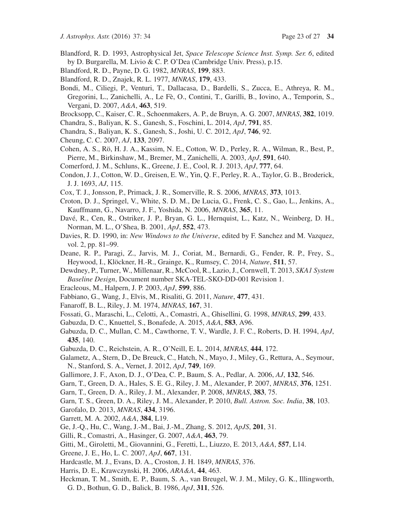- Blandford, R. D. 1993, Astrophysical Jet, *Space Telescope Science Inst. Symp. Ser. 6*, edited by D. Burgarella, M. Livio & C. P. O'Dea (Cambridge Univ. Press), p.15.
- Blandford, R. D., Payne, D. G. 1982, *MNRAS*, **199**, 883.
- Blandford, R. D., Znajek, R. L. 1977, *MNRAS*, **179**, 433.
- Bondi, M., Ciliegi, P., Venturi, T., Dallacasa, D., Bardelli, S., Zucca, E., Athreya, R. M., Gregorini, L., Zanichelli, A., Le Fè, O., Contini, T., Garilli, B., Iovino, A., Temporin, S., Vergani, D. 2007, *A&A*, **463**, 519.
- Brocksopp, C., Kaiser, C. R., Schoenmakers, A. P., de Bruyn, A. G. 2007, *MNRAS*, **382**, 1019.
- Chandra, S., Baliyan, K. S., Ganesh, S., Foschini, L. 2014, *ApJ*, **791**, 85.
- Chandra, S., Baliyan, K. S., Ganesh, S., Joshi, U. C. 2012, *ApJ*, **746**, 92.
- Cheung, C. C. 2007, *AJ*, **133**, 2097.
- Cohen, A. S., Rö, H. J. A., Kassim, N. E., Cotton, W. D., Perley, R. A., Wilman, R., Best, P., Pierre, M., Birkinshaw, M., Bremer, M., Zanichelli, A. 2003, *ApJ*, **591**, 640.
- Comerford, J. M., Schluns, K., Greene, J. E., Cool, R. J. 2013, *ApJ*, **777**, 64.
- Condon, J. J., Cotton, W. D., Greisen, E. W., Yin, Q. F., Perley, R. A., Taylor, G. B., Broderick, J. J. 1693, *AJ*, 115.
- Cox, T. J., Jonsson, P., Primack, J. R., Somerville, R. S. 2006, *MNRAS*, **373**, 1013.
- Croton, D. J., Springel, V., White, S. D. M., De Lucia, G., Frenk, C. S., Gao, L., Jenkins, A., Kauffmann, G., Navarro, J. F., Yoshida, N. 2006, *MNRAS*, **365**, 11.
- Davé, R., Cen, R., Ostriker, J. P., Bryan, G. L., Hernquist, L., Katz, N., Weinberg, D. H., Norman, M. L., O'Shea, B. 2001, *ApJ*, **552**, 473.
- Davies, R. D. 1990, in: *New Windows to the Universe*, edited by F. Sanchez and M. Vazquez, vol. 2, pp. 81–99.
- Deane, R. P., Paragi, Z., Jarvis, M. J., Coriat, M., Bernardi, G., Fender, R. P., Frey, S., Heywood, I., Klöckner, H.-R., Grainge, K., Rumsey, C. 2014, *Nature*, **511**, 57.
- Dewdney, P., Turner, W., Millenaar, R., McCool, R., Lazio, J., Cornwell, T. 2013, *SKA1 System Baseline Design*, Document number SKA-TEL-SKO-DD-001 Revision 1.
- Eracleous, M., Halpern, J. P. 2003, *ApJ*, **599**, 886.
- Fabbiano, G., Wang, J., Elvis, M., Risaliti, G. 2011, *Nature*, **477**, 431.
- Fanaroff, B. L., Riley, J. M. 1974, *MNRAS*, **167**, 31.
- Fossati, G., Maraschi, L., Celotti, A., Comastri, A., Ghisellini, G. 1998, *MNRAS*, **299**, 433.
- Gabuzda, D. C., Knuettel, S., Bonafede, A. 2015, *A&A*, **583**, A96.
- Gabuzda, D. C., Mullan, C. M., Cawthorne, T. V., Wardle, J. F. C., Roberts, D. H. 1994, *ApJ*, **435**, 140.
- Gabuzda, D. C., Reichstein, A. R., O'Neill, E. L. 2014, *MNRAS*, **444**, 172.
- Galametz, A., Stern, D., De Breuck, C., Hatch, N., Mayo, J., Miley, G., Rettura, A., Seymour, N., Stanford, S. A., Vernet, J. 2012, *ApJ*, **749**, 169.
- Gallimore, J. F., Axon, D. J., O'Dea, C. P., Baum, S. A., Pedlar, A. 2006, *AJ*, **132**, 546.
- Garn, T., Green, D. A., Hales, S. E. G., Riley, J. M., Alexander, P. 2007, *MNRAS*, **376**, 1251.
- Garn, T., Green, D. A., Riley, J. M., Alexander, P. 2008, *MNRAS*, **383**, 75.
- Garn, T. S., Green, D. A., Riley, J. M., Alexander, P. 2010, *Bull. Astron. Soc. India*, **38**, 103.
- Garofalo, D. 2013, *MNRAS*, **434**, 3196.
- Garrett, M. A. 2002, *A&A*, **384**, L19.
- Ge, J.-Q., Hu, C., Wang, J.-M., Bai, J.-M., Zhang, S. 2012, *ApJS*, **201**, 31.
- Gilli, R., Comastri, A., Hasinger, G. 2007, *A&A*, **463**, 79.
- Gitti, M., Giroletti, M., Giovannini, G., Feretti, L., Liuzzo, E. 2013, *A&A*, **557**, L14.
- Greene, J. E., Ho, L. C. 2007, *ApJ*, **667**, 131.
- Hardcastle, M. J., Evans, D. A., Croston, J. H. 1849, *MNRAS*, 376.
- Harris, D. E., Krawczynski, H. 2006, *ARA&A*, **44**, 463.
- Heckman, T. M., Smith, E. P., Baum, S. A., van Breugel, W. J. M., Miley, G. K., Illingworth, G. D., Bothun, G. D., Balick, B. 1986, *ApJ*, **311**, 526.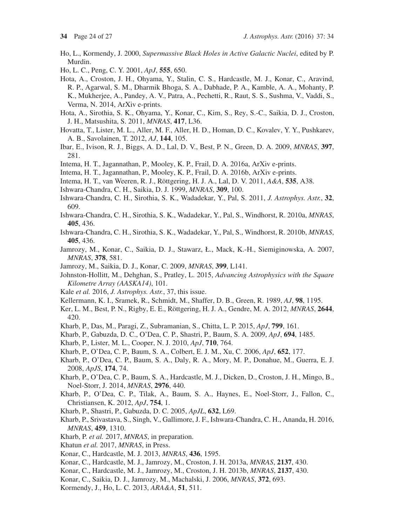- Ho, L., Kormendy, J. 2000, *Supermassive Black Holes in Active Galactic Nuclei*, edited by P. Murdin.
- Ho, L. C., Peng, C. Y. 2001, *ApJ*, **555**, 650.
- Hota, A., Croston, J. H., Ohyama, Y., Stalin, C. S., Hardcastle, M. J., Konar, C., Aravind, R. P., Agarwal, S. M., Dharmik Bhoga, S. A., Dabhade, P. A., Kamble, A. A., Mohanty, P. K., Mukherjee, A., Pandey, A. V., Patra, A., Pechetti, R., Raut, S. S., Sushma, V., Vaddi, S., Verma, N. 2014, ArXiv e-prints.
- Hota, A., Sirothia, S. K., Ohyama, Y., Konar, C., Kim, S., Rey, S.-C., Saikia, D. J., Croston, J. H., Matsushita, S. 2011, *MNRAS*, **417**, L36.
- Hovatta, T., Lister, M. L., Aller, M. F., Aller, H. D., Homan, D. C., Kovalev, Y. Y., Pushkarev, A. B., Savolainen, T. 2012, *AJ*, **144**, 105.
- Ibar, E., Ivison, R. J., Biggs, A. D., Lal, D. V., Best, P. N., Green, D. A. 2009, *MNRAS*, **397**, 281.
- Intema, H. T., Jagannathan, P., Mooley, K. P., Frail, D. A. 2016a, ArXiv e-prints.
- Intema, H. T., Jagannathan, P., Mooley, K. P., Frail, D. A. 2016b, ArXiv e-prints.
- Intema, H. T., van Weeren, R. J., Röttgering, H. J. A., Lal, D. V. 2011, *A&A*, **535**, A38.
- Ishwara-Chandra, C. H., Saikia, D. J. 1999, *MNRAS*, **309**, 100.
- Ishwara-Chandra, C. H., Sirothia, S. K., Wadadekar, Y., Pal, S. 2011, *J. Astrophys. Astr.*, **32**, 609.
- Ishwara-Chandra, C. H., Sirothia, S. K., Wadadekar, Y., Pal, S., Windhorst, R. 2010a, *MNRAS*, **405**, 436.
- Ishwara-Chandra, C. H., Sirothia, S. K., Wadadekar, Y., Pal, S., Windhorst, R. 2010b, *MNRAS*, **405**, 436.
- Jamrozy, M., Konar, C., Saikia, D. J., Stawarz, Ł., Mack, K.-H., Siemiginowska, A. 2007, *MNRAS*, **378**, 581.
- Jamrozy, M., Saikia, D. J., Konar, C. 2009, *MNRAS*, **399**, L141.
- Johnston-Hollitt, M., Dehghan, S., Pratley, L. 2015, *Advancing Astrophysics with the Square Kilometre Array (AASKA14)*, 101.
- Kale *et al.* 2016, *J. Astrophys. Astr.*, 37, this issue.
- Kellermann, K. I., Sramek, R., Schmidt, M., Shaffer, D. B., Green, R. 1989, *AJ*, **98**, 1195.
- Ker, L. M., Best, P. N., Rigby, E. E., Röttgering, H. J. A., Gendre, M. A. 2012, *MNRAS*, **2644**, 420.
- Kharb, P., Das, M., Paragi, Z., Subramanian, S., Chitta, L. P. 2015, *ApJ*, **799**, 161.
- Kharb, P., Gabuzda, D. C., O'Dea, C. P., Shastri, P., Baum, S. A. 2009, *ApJ*, **694**, 1485.
- Kharb, P., Lister, M. L., Cooper, N. J. 2010, *ApJ*, **710**, 764.
- Kharb, P., O'Dea, C. P., Baum, S. A., Colbert, E. J. M., Xu, C. 2006, *ApJ*, **652**, 177.
- Kharb, P., O'Dea, C. P., Baum, S. A., Daly, R. A., Mory, M. P., Donahue, M., Guerra, E. J. 2008, *ApJS*, **174**, 74.
- Kharb, P., O'Dea, C. P., Baum, S. A., Hardcastle, M. J., Dicken, D., Croston, J. H., Mingo, B., Noel-Storr, J. 2014, *MNRAS*, **2976**, 440.
- Kharb, P., O'Dea, C. P., Tilak, A., Baum, S. A., Haynes, E., Noel-Storr, J., Fallon, C., Christiansen, K. 2012, *ApJ*, **754**, 1.
- Kharb, P., Shastri, P., Gabuzda, D. C. 2005, *ApJL*, **632**, L69.
- Kharb, P., Srivastava, S., Singh, V., Gallimore, J. F., Ishwara-Chandra, C. H., Ananda, H. 2016, *MNRAS*, **459**, 1310.
- Kharb, P. *et al.* 2017, *MNRAS*, in preparation.
- Khatun *et al.* 2017, *MNRAS*, in Press.
- Konar, C., Hardcastle, M. J. 2013, *MNRAS*, **436**, 1595.
- Konar, C., Hardcastle, M. J., Jamrozy, M., Croston, J. H. 2013a, *MNRAS*, **2137**, 430.
- Konar, C., Hardcastle, M. J., Jamrozy, M., Croston, J. H. 2013b, *MNRAS*, **2137**, 430.
- Konar, C., Saikia, D. J., Jamrozy, M., Machalski, J. 2006, *MNRAS*, **372**, 693.
- Kormendy, J., Ho, L. C. 2013, *ARA&A*, **51**, 511.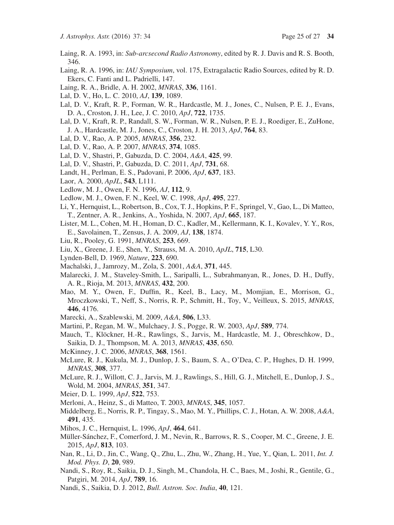- Laing, R. A. 1993, in: *Sub-arcsecond Radio Astronomy*, edited by R. J. Davis and R. S. Booth, 346.
- Laing, R. A. 1996, in: *IAU Symposium*, vol. 175, Extragalactic Radio Sources, edited by R. D. Ekers, C. Fanti and L. Padrielli, 147.
- Laing, R. A., Bridle, A. H. 2002, *MNRAS*, **336**, 1161.
- Lal, D. V., Ho, L. C. 2010, *AJ*, **139**, 1089.
- Lal, D. V., Kraft, R. P., Forman, W. R., Hardcastle, M. J., Jones, C., Nulsen, P. E. J., Evans, D. A., Croston, J. H., Lee, J. C. 2010, *ApJ*, **722**, 1735.
- Lal, D. V., Kraft, R. P., Randall, S. W., Forman, W. R., Nulsen, P. E. J., Roediger, E., ZuHone, J. A., Hardcastle, M. J., Jones, C., Croston, J. H. 2013, *ApJ*, **764**, 83.
- Lal, D. V., Rao, A. P. 2005, *MNRAS*, **356**, 232.
- Lal, D. V., Rao, A. P. 2007, *MNRAS*, **374**, 1085.
- Lal, D. V., Shastri, P., Gabuzda, D. C. 2004, *A&A*, **425**, 99.
- Lal, D. V., Shastri, P., Gabuzda, D. C. 2011, *ApJ*, **731**, 68.
- Landt, H., Perlman, E. S., Padovani, P. 2006, *ApJ*, **637**, 183.
- Laor, A. 2000, *ApJL*, **543**, L111.
- Ledlow, M. J., Owen, F. N. 1996, *AJ*, **112**, 9.
- Ledlow, M. J., Owen, F. N., Keel, W. C. 1998, *ApJ*, **495**, 227.
- Li, Y., Hernquist, L., Robertson, B., Cox, T. J., Hopkins, P. F., Springel, V., Gao, L., Di Matteo, T., Zentner, A. R., Jenkins, A., Yoshida, N. 2007, *ApJ*, **665**, 187.
- Lister, M. L., Cohen, M. H., Homan, D. C., Kadler, M., Kellermann, K. I., Kovalev, Y. Y., Ros, E., Savolainen, T., Zensus, J. A. 2009, *AJ*, **138**, 1874.
- Liu, R., Pooley, G. 1991, *MNRAS*, **253**, 669.
- Liu, X., Greene, J. E., Shen, Y., Strauss, M. A. 2010, *ApJL*, **715**, L30.
- Lynden-Bell, D. 1969, *Nature*, **223**, 690.
- Machalski, J., Jamrozy, M., Zola, S. 2001, *A&A*, **371**, 445.
- Malarecki, J. M., Staveley-Smith, L., Saripalli, L., Subrahmanyan, R., Jones, D. H., Duffy, A. R., Rioja, M. 2013, *MNRAS*, **432**, 200.
- Mao, M. Y., Owen, F., Duffin, R., Keel, B., Lacy, M., Momjian, E., Morrison, G., Mroczkowski, T., Neff, S., Norris, R. P., Schmitt, H., Toy, V., Veilleux, S. 2015, *MNRAS*, **446**, 4176.
- Marecki, A., Szablewski, M. 2009, *A&A*, **506**, L33.
- Martini, P., Regan, M. W., Mulchaey, J. S., Pogge, R. W. 2003, *ApJ*, **589**, 774.
- Mauch, T., Klöckner, H.-R., Rawlings, S., Jarvis, M., Hardcastle, M. J., Obreschkow, D., Saikia, D. J., Thompson, M. A. 2013, *MNRAS*, **435**, 650.
- McKinney, J. C. 2006, *MNRAS*, **368**, 1561.
- McLure, R. J., Kukula, M. J., Dunlop, J. S., Baum, S. A., O'Dea, C. P., Hughes, D. H. 1999, *MNRAS*, **308**, 377.
- McLure, R. J., Willott, C. J., Jarvis, M. J., Rawlings, S., Hill, G. J., Mitchell, E., Dunlop, J. S., Wold, M. 2004, *MNRAS*, **351**, 347.
- Meier, D. L. 1999, *ApJ*, **522**, 753.
- Merloni, A., Heinz, S., di Matteo, T. 2003, *MNRAS*, **345**, 1057.
- Middelberg, E., Norris, R. P., Tingay, S., Mao, M. Y., Phillips, C. J., Hotan, A. W. 2008, *A&A*, **491**, 435.
- Mihos, J. C., Hernquist, L. 1996, *ApJ*, **464**, 641.
- Müller-Sánchez, F., Comerford, J. M., Nevin, R., Barrows, R. S., Cooper, M. C., Greene, J. E. 2015, *ApJ*, **813**, 103.
- Nan, R., Li, D., Jin, C., Wang, Q., Zhu, L., Zhu, W., Zhang, H., Yue, Y., Qian, L. 2011, *Int. J. Mod. Phys. D*, **20**, 989.
- Nandi, S., Roy, R., Saikia, D. J., Singh, M., Chandola, H. C., Baes, M., Joshi, R., Gentile, G., Patgiri, M. 2014, *ApJ*, **789**, 16.
- Nandi, S., Saikia, D. J. 2012, *Bull. Astron. Soc. India*, **40**, 121.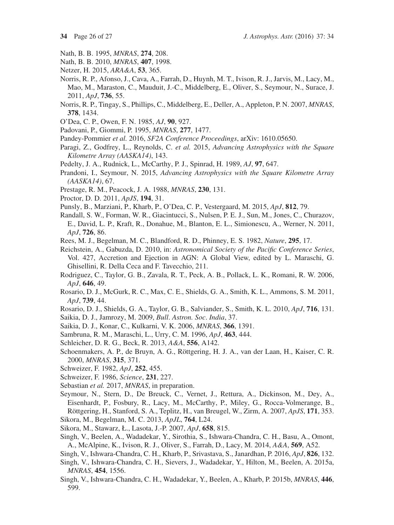- Nath, B. B. 1995, *MNRAS*, **274**, 208.
- Nath, B. B. 2010, *MNRAS*, **407**, 1998.
- Netzer, H. 2015, *ARA&A*, **53**, 365.
- Norris, R. P., Afonso, J., Cava, A., Farrah, D., Huynh, M. T., Ivison, R. J., Jarvis, M., Lacy, M., Mao, M., Maraston, C., Mauduit, J.-C., Middelberg, E., Oliver, S., Seymour, N., Surace, J. 2011, *ApJ*, **736**, 55.
- Norris, R. P., Tingay, S., Phillips, C., Middelberg, E., Deller, A., Appleton, P. N. 2007, *MNRAS*, **378**, 1434.
- O'Dea, C. P., Owen, F. N. 1985, *AJ*, **90**, 927.
- Padovani, P., Giommi, P. 1995, *MNRAS*, **277**, 1477.
- Pandey-Pommier *et al.* 2016, *SF2A Conference Proceedings*, arXiv: 1610.05650.
- Paragi, Z., Godfrey, L., Reynolds, C. *et al.* 2015, *Advancing Astrophysics with the Square Kilometre Array (AASKA14)*, 143.
- Pedelty, J. A., Rudnick, L., McCarthy, P. J., Spinrad, H. 1989, *AJ*, **97**, 647.
- Prandoni, I., Seymour, N. 2015, *Advancing Astrophysics with the Square Kilometre Array (AASKA14)*, 67.
- Prestage, R. M., Peacock, J. A. 1988, *MNRAS*, **230**, 131.
- Proctor, D. D. 2011, *ApJS*, **194**, 31.
- Punsly, B., Marziani, P., Kharb, P., O'Dea, C. P., Vestergaard, M. 2015, *ApJ*, **812**, 79.
- Randall, S. W., Forman, W. R., Giacintucci, S., Nulsen, P. E. J., Sun, M., Jones, C., Churazov, E., David, L. P., Kraft, R., Donahue, M., Blanton, E. L., Simionescu, A., Werner, N. 2011, *ApJ*, **726**, 86.
- Rees, M. J., Begelman, M. C., Blandford, R. D., Phinney, E. S. 1982, *Nature*, **295**, 17.
- Reichstein, A., Gabuzda, D. 2010, in: *Astronomical Society of the Pacific Conference Series*, Vol. 427, Accretion and Ejection in AGN: A Global View, edited by L. Maraschi, G. Ghisellini, R. Della Ceca and F. Tavecchio, 211.
- Rodriguez, C., Taylor, G. B., Zavala, R. T., Peck, A. B., Pollack, L. K., Romani, R. W. 2006, *ApJ*, **646**, 49.
- Rosario, D. J., McGurk, R. C., Max, C. E., Shields, G. A., Smith, K. L., Ammons, S. M. 2011, *ApJ*, **739**, 44.
- Rosario, D. J., Shields, G. A., Taylor, G. B., Salviander, S., Smith, K. L. 2010, *ApJ*, **716**, 131.
- Saikia, D. J., Jamrozy, M. 2009, *Bull*. *Astron. Soc*. *India*, 37.
- Saikia, D. J., Konar, C., Kulkarni, V. K. 2006, *MNRAS*, **366**, 1391.
- Sambruna, R. M., Maraschi, L., Urry, C. M. 1996, *ApJ*, **463**, 444.
- Schleicher, D. R. G., Beck, R. 2013, *A&A*, **556**, A142.
- Schoenmakers, A. P., de Bruyn, A. G., Röttgering, H. J. A., van der Laan, H., Kaiser, C. R. 2000, *MNRAS*, **315**, 371.
- Schweizer, F. 1982, *ApJ*, **252**, 455.
- Schweizer, F. 1986, *Science*, **231**, 227.
- Sebastian *et al.* 2017, *MNRAS*, in preparation.
- Seymour, N., Stern, D., De Breuck, C., Vernet, J., Rettura, A., Dickinson, M., Dey, A., Eisenhardt, P., Fosbury, R., Lacy, M., McCarthy, P., Miley, G., Rocca-Volmerange, B., Röttgering, H., Stanford, S. A., Teplitz, H., van Breugel, W., Zirm, A. 2007, *ApJS*, **171**, 353.
- Sikora, M., Begelman, M. C. 2013, *ApJL*, **764**, L24.
- Sikora, M., Stawarz, Ł., Lasota, J.-P. 2007, *ApJ*, **658**, 815.
- Singh, V., Beelen, A., Wadadekar, Y., Sirothia, S., Ishwara-Chandra, C. H., Basu, A., Omont, A., McAlpine, K., Ivison, R. J., Oliver, S., Farrah, D., Lacy, M. 2014, *A&A*, **569**, A52.
- Singh, V., Ishwara-Chandra, C. H., Kharb, P., Srivastava, S., Janardhan, P. 2016, *ApJ*, **826**, 132.
- Singh, V., Ishwara-Chandra, C. H., Sievers, J., Wadadekar, Y., Hilton, M., Beelen, A. 2015a, *MNRAS*, **454**, 1556.
- Singh, V., Ishwara-Chandra, C. H., Wadadekar, Y., Beelen, A., Kharb, P. 2015b, *MNRAS*, **446**, 599.